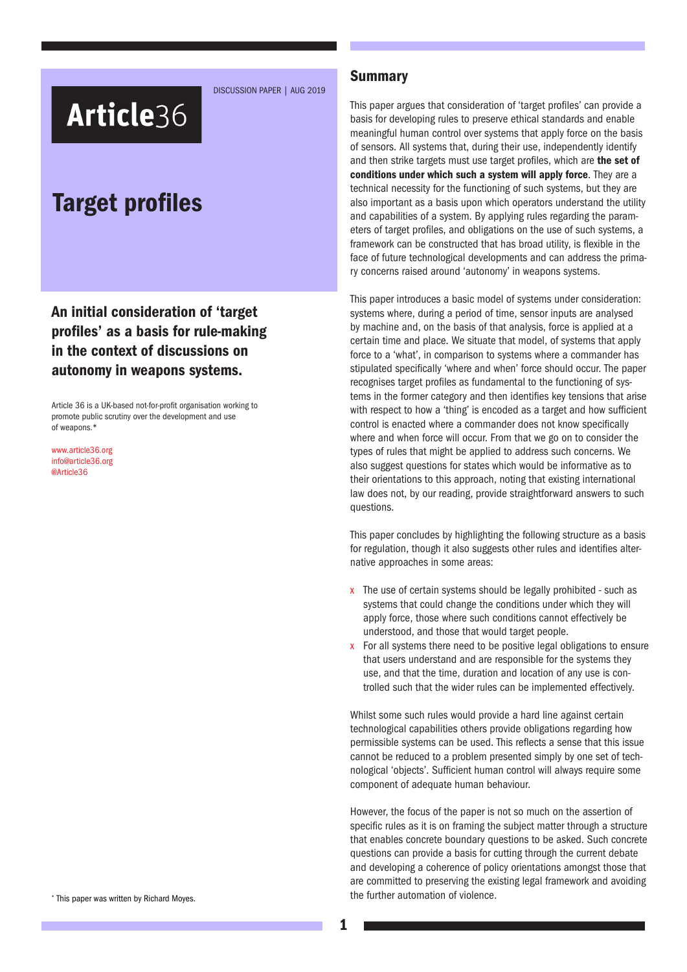DISCUSSION PAPER | AUG 2019

# Article36

## Target profiles

An initial consideration of 'target profiles' as a basis for rule-making in the context of discussions on autonomy in weapons systems.

Article 36 is a UK-based not-for-profit organisation working to promote public scrutiny over the development and use of weapons.\*

[www.article36.org](http://www.article36.org) [info@article36.org](mailto:info@article36.org) [@Article36](mailto:@Article36)

**Summary** 

This paper argues that consideration of 'target profiles' can provide a basis for developing rules to preserve ethical standards and enable meaningful human control over systems that apply force on the basis of sensors. All systems that, during their use, independently identify and then strike targets must use target profiles, which are the set of conditions under which such a system will apply force. They are a technical necessity for the functioning of such systems, but they are also important as a basis upon which operators understand the utility and capabilities of a system. By applying rules regarding the parameters of target profiles, and obligations on the use of such systems, a framework can be constructed that has broad utility, is flexible in the face of future technological developments and can address the primary concerns raised around 'autonomy' in weapons systems.

This paper introduces a basic model of systems under consideration: systems where, during a period of time, sensor inputs are analysed by machine and, on the basis of that analysis, force is applied at a certain time and place. We situate that model, of systems that apply force to a 'what', in comparison to systems where a commander has stipulated specifically 'where and when' force should occur. The paper recognises target profiles as fundamental to the functioning of systems in the former category and then identifies key tensions that arise with respect to how a 'thing' is encoded as a target and how sufficient control is enacted where a commander does not know specifically where and when force will occur. From that we go on to consider the types of rules that might be applied to address such concerns. We also suggest questions for states which would be informative as to their orientations to this approach, noting that existing international law does not, by our reading, provide straightforward answers to such questions.

This paper concludes by highlighting the following structure as a basis for regulation, though it also suggests other rules and identifies alternative approaches in some areas:

- x The use of certain systems should be legally prohibited such as systems that could change the conditions under which they will apply force, those where such conditions cannot effectively be understood, and those that would target people.
- x For all systems there need to be positive legal obligations to ensure that users understand and are responsible for the systems they use, and that the time, duration and location of any use is controlled such that the wider rules can be implemented effectively.

Whilst some such rules would provide a hard line against certain technological capabilities others provide obligations regarding how permissible systems can be used. This reflects a sense that this issue cannot be reduced to a problem presented simply by one set of technological 'objects'. Sufficient human control will always require some component of adequate human behaviour.

However, the focus of the paper is not so much on the assertion of specific rules as it is on framing the subject matter through a structure that enables concrete boundary questions to be asked. Such concrete questions can provide a basis for cutting through the current debate and developing a coherence of policy orientations amongst those that are committed to preserving the existing legal framework and avoiding the further automation of violence.

\* This paper was written by Richard Moyes.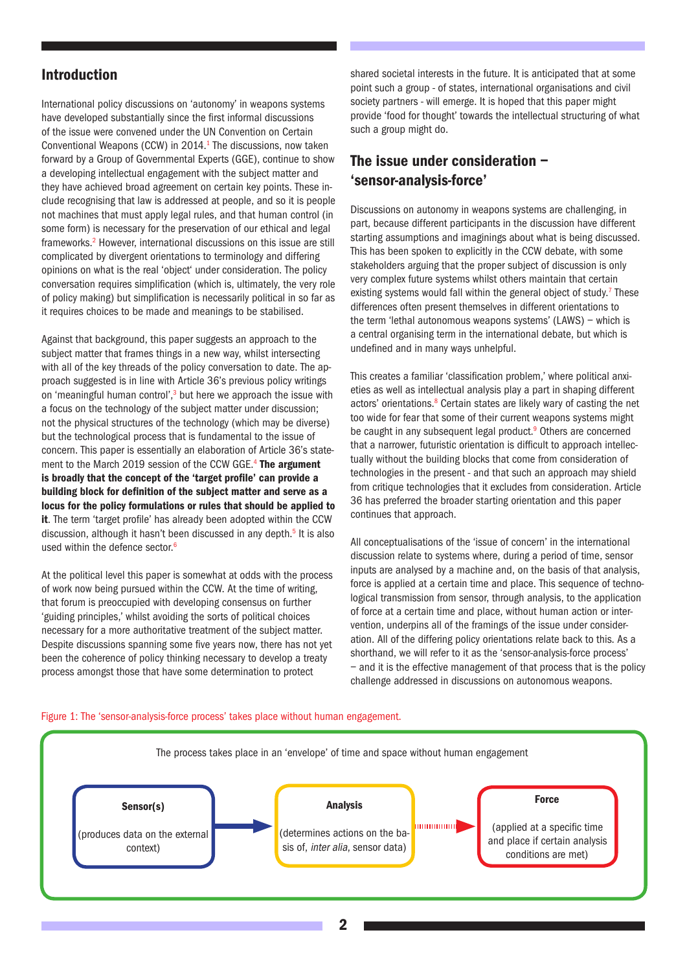### Introduction

International policy discussions on 'autonomy' in weapons systems have developed substantially since the first informal discussions of the issue were convened under the UN Convention on Certain Conventional Weapons (CCW) in 2014.<sup>1</sup> The discussions, now taken forward by a Group of Governmental Experts (GGE), continue to show a developing intellectual engagement with the subject matter and they have achieved broad agreement on certain key points. These include recognising that law is addressed at people, and so it is people not machines that must apply legal rules, and that human control (in some form) is necessary for the preservation of our ethical and legal frameworks.<sup>2</sup> However, international discussions on this issue are still complicated by divergent orientations to terminology and differing opinions on what is the real 'object' under consideration. The policy conversation requires simplification (which is, ultimately, the very role of policy making) but simplification is necessarily political in so far as it requires choices to be made and meanings to be stabilised.

Against that background, this paper suggests an approach to the subject matter that frames things in a new way, whilst intersecting with all of the key threads of the policy conversation to date. The approach suggested is in line with Article 36's previous policy writings on 'meaningful human control',<sup>3</sup> but here we approach the issue with a focus on the technology of the subject matter under discussion; not the physical structures of the technology (which may be diverse) but the technological process that is fundamental to the issue of concern. This paper is essentially an elaboration of Article 36's statement to the March 2019 session of the CCW GGE.<sup>4</sup> The argument is broadly that the concept of the 'target profile' can provide a building block for definition of the subject matter and serve as a locus for the policy formulations or rules that should be applied to it. The term 'target profile' has already been adopted within the CCW discussion, although it hasn't been discussed in any depth.<sup>5</sup> It is also used within the defence sector.<sup>6</sup>

At the political level this paper is somewhat at odds with the process of work now being pursued within the CCW. At the time of writing, that forum is preoccupied with developing consensus on further 'guiding principles,' whilst avoiding the sorts of political choices necessary for a more authoritative treatment of the subject matter. Despite discussions spanning some five years now, there has not yet been the coherence of policy thinking necessary to develop a treaty process amongst those that have some determination to protect

shared societal interests in the future. It is anticipated that at some point such a group - of states, international organisations and civil society partners - will emerge. It is hoped that this paper might provide 'food for thought' towards the intellectual structuring of what such a group might do.

## The issue under consideration – 'sensor-analysis-force'

Discussions on autonomy in weapons systems are challenging, in part, because different participants in the discussion have different starting assumptions and imaginings about what is being discussed. This has been spoken to explicitly in the CCW debate, with some stakeholders arguing that the proper subject of discussion is only very complex future systems whilst others maintain that certain existing systems would fall within the general object of study.<sup>7</sup> These differences often present themselves in different orientations to the term 'lethal autonomous weapons systems' (LAWS) – which is a central organising term in the international debate, but which is undefined and in many ways unhelpful.

This creates a familiar 'classification problem,' where political anxieties as well as intellectual analysis play a part in shaping different actors' orientations.<sup>8</sup> Certain states are likely wary of casting the net too wide for fear that some of their current weapons systems might be caught in any subsequent legal product.<sup>9</sup> Others are concerned that a narrower, futuristic orientation is difficult to approach intellectually without the building blocks that come from consideration of technologies in the present - and that such an approach may shield from critique technologies that it excludes from consideration. Article 36 has preferred the broader starting orientation and this paper continues that approach.

All conceptualisations of the 'issue of concern' in the international discussion relate to systems where, during a period of time, sensor inputs are analysed by a machine and, on the basis of that analysis, force is applied at a certain time and place. This sequence of technological transmission from sensor, through analysis, to the application of force at a certain time and place, without human action or intervention, underpins all of the framings of the issue under consideration. All of the differing policy orientations relate back to this. As a shorthand, we will refer to it as the 'sensor-analysis-force process' – and it is the effective management of that process that is the policy challenge addressed in discussions on autonomous weapons.



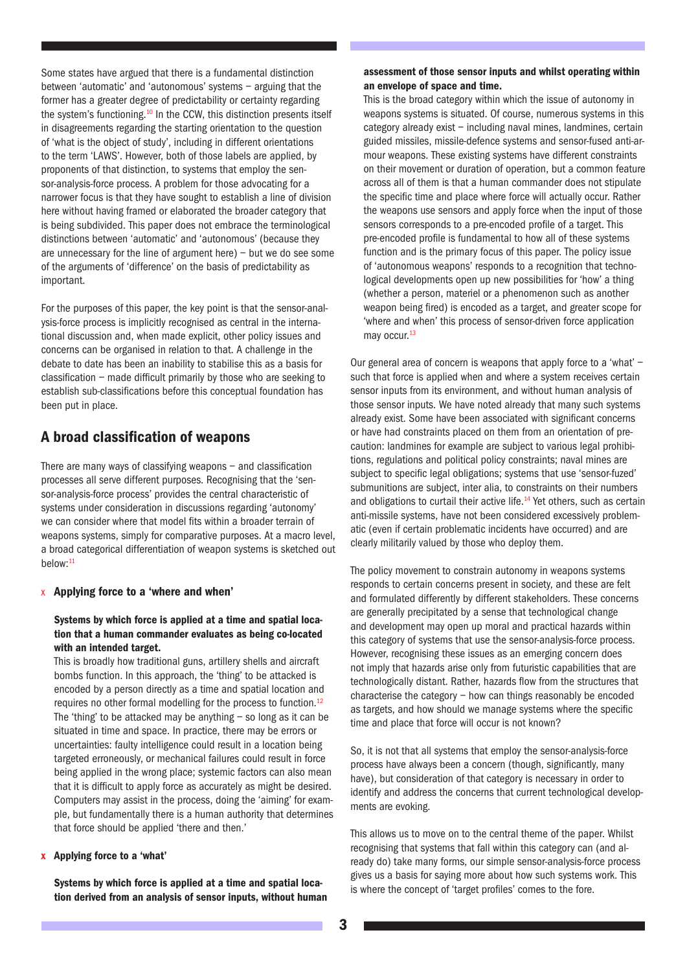Some states have argued that there is a fundamental distinction between 'automatic' and 'autonomous' systems – arguing that the former has a greater degree of predictability or certainty regarding the system's functioning.<sup>10</sup> In the CCW, this distinction presents itself in disagreements regarding the starting orientation to the question of 'what is the object of study', including in different orientations to the term 'LAWS'. However, both of those labels are applied, by proponents of that distinction, to systems that employ the sensor-analysis-force process. A problem for those advocating for a narrower focus is that they have sought to establish a line of division here without having framed or elaborated the broader category that is being subdivided. This paper does not embrace the terminological distinctions between 'automatic' and 'autonomous' (because they are unnecessary for the line of argument here)  $-$  but we do see some of the arguments of 'difference' on the basis of predictability as important.

For the purposes of this paper, the key point is that the sensor-analysis-force process is implicitly recognised as central in the international discussion and, when made explicit, other policy issues and concerns can be organised in relation to that. A challenge in the debate to date has been an inability to stabilise this as a basis for classification – made difficult primarily by those who are seeking to establish sub-classifications before this conceptual foundation has been put in place.

## A broad classification of weapons

There are many ways of classifying weapons – and classification processes all serve different purposes. Recognising that the 'sensor-analysis-force process' provides the central characteristic of systems under consideration in discussions regarding 'autonomy' we can consider where that model fits within a broader terrain of weapons systems, simply for comparative purposes. At a macro level, a broad categorical differentiation of weapon systems is sketched out below:11

#### x Applying force to a 'where and when'

#### Systems by which force is applied at a time and spatial location that a human commander evaluates as being co-located with an intended target.

This is broadly how traditional guns, artillery shells and aircraft bombs function. In this approach, the 'thing' to be attacked is encoded by a person directly as a time and spatial location and requires no other formal modelling for the process to function.<sup>12</sup> The 'thing' to be attacked may be anything  $-$  so long as it can be situated in time and space. In practice, there may be errors or uncertainties: faulty intelligence could result in a location being targeted erroneously, or mechanical failures could result in force being applied in the wrong place; systemic factors can also mean that it is difficult to apply force as accurately as might be desired. Computers may assist in the process, doing the 'aiming' for example, but fundamentally there is a human authority that determines that force should be applied 'there and then.'

#### x Applying force to a 'what'

Systems by which force is applied at a time and spatial location derived from an analysis of sensor inputs, without human

#### assessment of those sensor inputs and whilst operating within an envelope of space and time.

This is the broad category within which the issue of autonomy in weapons systems is situated. Of course, numerous systems in this category already exist – including naval mines, landmines, certain guided missiles, missile-defence systems and sensor-fused anti-armour weapons. These existing systems have different constraints on their movement or duration of operation, but a common feature across all of them is that a human commander does not stipulate the specific time and place where force will actually occur. Rather the weapons use sensors and apply force when the input of those sensors corresponds to a pre-encoded profile of a target. This pre-encoded profile is fundamental to how all of these systems function and is the primary focus of this paper. The policy issue of 'autonomous weapons' responds to a recognition that technological developments open up new possibilities for 'how' a thing (whether a person, materiel or a phenomenon such as another weapon being fired) is encoded as a target, and greater scope for 'where and when' this process of sensor-driven force application may occur.<sup>13</sup>

Our general area of concern is weapons that apply force to a 'what' – such that force is applied when and where a system receives certain sensor inputs from its environment, and without human analysis of those sensor inputs. We have noted already that many such systems already exist. Some have been associated with significant concerns or have had constraints placed on them from an orientation of precaution: landmines for example are subject to various legal prohibitions, regulations and political policy constraints; naval mines are subject to specific legal obligations; systems that use 'sensor-fuzed' submunitions are subject, inter alia, to constraints on their numbers and obligations to curtail their active life.<sup>14</sup> Yet others, such as certain anti-missile systems, have not been considered excessively problematic (even if certain problematic incidents have occurred) and are clearly militarily valued by those who deploy them.

The policy movement to constrain autonomy in weapons systems responds to certain concerns present in society, and these are felt and formulated differently by different stakeholders. These concerns are generally precipitated by a sense that technological change and development may open up moral and practical hazards within this category of systems that use the sensor-analysis-force process. However, recognising these issues as an emerging concern does not imply that hazards arise only from futuristic capabilities that are technologically distant. Rather, hazards flow from the structures that characterise the category – how can things reasonably be encoded as targets, and how should we manage systems where the specific time and place that force will occur is not known?

So, it is not that all systems that employ the sensor-analysis-force process have always been a concern (though, significantly, many have), but consideration of that category is necessary in order to identify and address the concerns that current technological developments are evoking.

This allows us to move on to the central theme of the paper. Whilst recognising that systems that fall within this category can (and already do) take many forms, our simple sensor-analysis-force process gives us a basis for saying more about how such systems work. This is where the concept of 'target profiles' comes to the fore.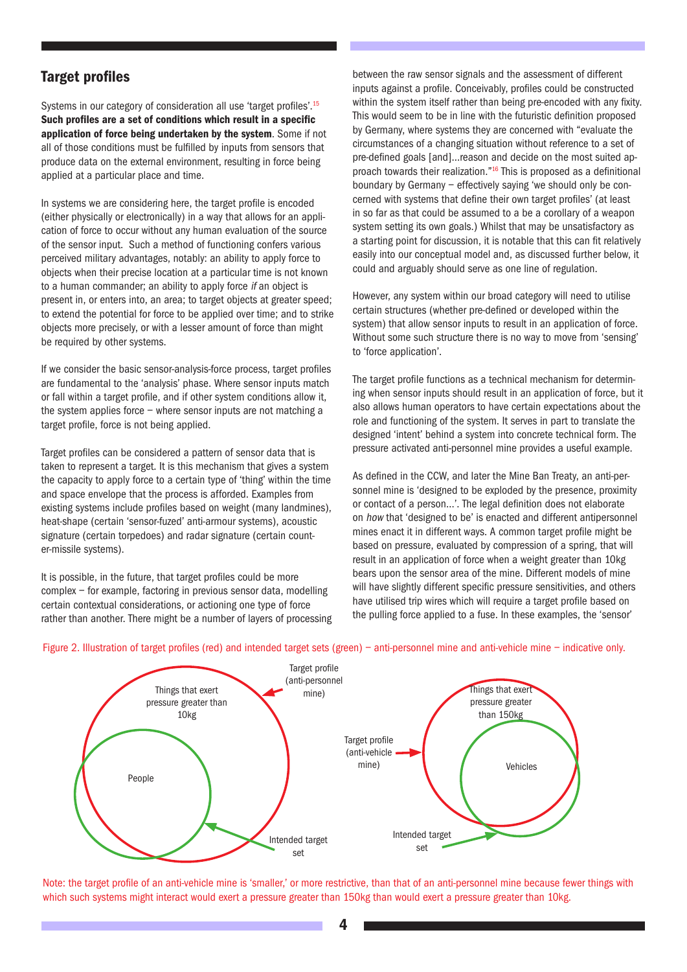## Target profiles

Systems in our category of consideration all use 'target profiles'.<sup>15</sup> Such profiles are a set of conditions which result in a specific application of force being undertaken by the system. Some if not all of those conditions must be fulfilled by inputs from sensors that produce data on the external environment, resulting in force being applied at a particular place and time.

In systems we are considering here, the target profile is encoded (either physically or electronically) in a way that allows for an application of force to occur without any human evaluation of the source of the sensor input. Such a method of functioning confers various perceived military advantages, notably: an ability to apply force to objects when their precise location at a particular time is not known to a human commander; an ability to apply force if an object is present in, or enters into, an area; to target objects at greater speed; to extend the potential for force to be applied over time; and to strike objects more precisely, or with a lesser amount of force than might be required by other systems.

If we consider the basic sensor-analysis-force process, target profiles are fundamental to the 'analysis' phase. Where sensor inputs match or fall within a target profile, and if other system conditions allow it, the system applies force – where sensor inputs are not matching a target profile, force is not being applied.

Target profiles can be considered a pattern of sensor data that is taken to represent a target. It is this mechanism that gives a system the capacity to apply force to a certain type of 'thing' within the time and space envelope that the process is afforded. Examples from existing systems include profiles based on weight (many landmines), heat-shape (certain 'sensor-fuzed' anti-armour systems), acoustic signature (certain torpedoes) and radar signature (certain counter-missile systems).

It is possible, in the future, that target profiles could be more complex – for example, factoring in previous sensor data, modelling certain contextual considerations, or actioning one type of force rather than another. There might be a number of layers of processing between the raw sensor signals and the assessment of different inputs against a profile. Conceivably, profiles could be constructed within the system itself rather than being pre-encoded with any fixity. This would seem to be in line with the futuristic definition proposed by Germany, where systems they are concerned with "evaluate the circumstances of a changing situation without reference to a set of pre-defined goals [and]…reason and decide on the most suited approach towards their realization."16 This is proposed as a definitional boundary by Germany – effectively saying 'we should only be concerned with systems that define their own target profiles' (at least in so far as that could be assumed to a be a corollary of a weapon system setting its own goals.) Whilst that may be unsatisfactory as a starting point for discussion, it is notable that this can fit relatively easily into our conceptual model and, as discussed further below, it could and arguably should serve as one line of regulation.

However, any system within our broad category will need to utilise certain structures (whether pre-defined or developed within the system) that allow sensor inputs to result in an application of force. Without some such structure there is no way to move from 'sensing' to 'force application'.

The target profile functions as a technical mechanism for determining when sensor inputs should result in an application of force, but it also allows human operators to have certain expectations about the role and functioning of the system. It serves in part to translate the designed 'intent' behind a system into concrete technical form. The pressure activated anti-personnel mine provides a useful example.

As defined in the CCW, and later the Mine Ban Treaty, an anti-personnel mine is 'designed to be exploded by the presence, proximity or contact of a person…'. The legal definition does not elaborate on how that 'designed to be' is enacted and different antipersonnel mines enact it in different ways. A common target profile might be based on pressure, evaluated by compression of a spring, that will result in an application of force when a weight greater than 10kg bears upon the sensor area of the mine. Different models of mine will have slightly different specific pressure sensitivities, and others have utilised trip wires which will require a target profile based on the pulling force applied to a fuse. In these examples, the 'sensor'



#### Figure 2. Illustration of target profiles (red) and intended target sets (green) – anti-personnel mine and anti-vehicle mine – indicative only.

Note: the target profile of an anti-vehicle mine is 'smaller,' or more restrictive, than that of an anti-personnel mine because fewer things with which such systems might interact would exert a pressure greater than 150kg than would exert a pressure greater than 10kg.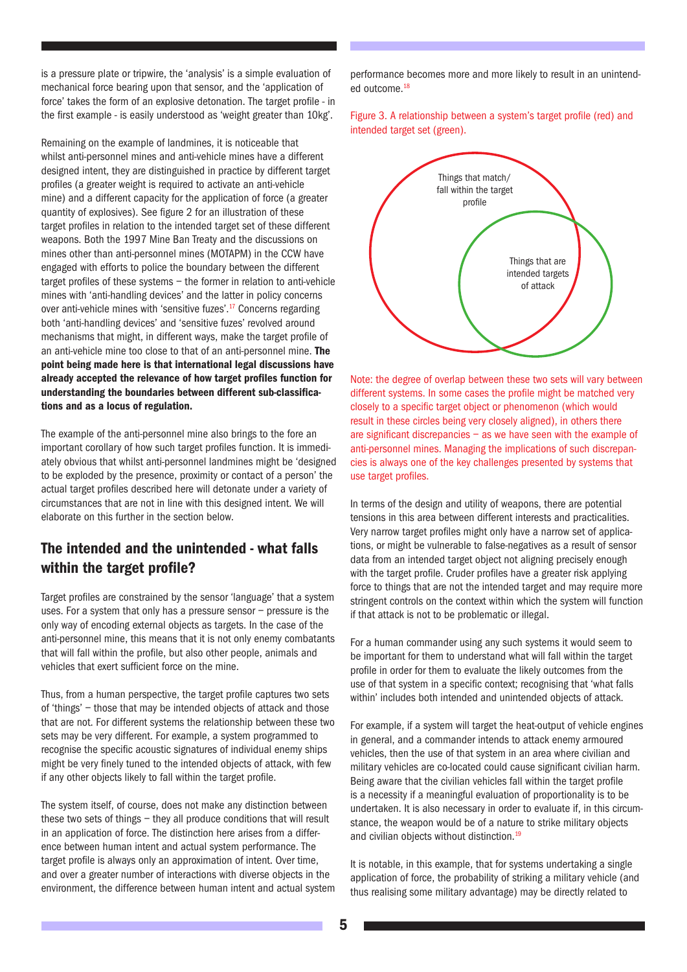is a pressure plate or tripwire, the 'analysis' is a simple evaluation of mechanical force bearing upon that sensor, and the 'application of force' takes the form of an explosive detonation. The target profile - in the first example - is easily understood as 'weight greater than 10kg'.

Remaining on the example of landmines, it is noticeable that whilst anti-personnel mines and anti-vehicle mines have a different designed intent, they are distinguished in practice by different target profiles (a greater weight is required to activate an anti-vehicle mine) and a different capacity for the application of force (a greater quantity of explosives). See figure 2 for an illustration of these target profiles in relation to the intended target set of these different weapons. Both the 1997 Mine Ban Treaty and the discussions on mines other than anti-personnel mines (MOTAPM) in the CCW have engaged with efforts to police the boundary between the different target profiles of these systems – the former in relation to anti-vehicle mines with 'anti-handling devices' and the latter in policy concerns over anti-vehicle mines with 'sensitive fuzes'.<sup>17</sup> Concerns regarding both 'anti-handling devices' and 'sensitive fuzes' revolved around mechanisms that might, in different ways, make the target profile of an anti-vehicle mine too close to that of an anti-personnel mine. The point being made here is that international legal discussions have already accepted the relevance of how target profiles function for understanding the boundaries between different sub-classifications and as a locus of regulation.

The example of the anti-personnel mine also brings to the fore an important corollary of how such target profiles function. It is immediately obvious that whilst anti-personnel landmines might be 'designed to be exploded by the presence, proximity or contact of a person' the actual target profiles described here will detonate under a variety of circumstances that are not in line with this designed intent. We will elaborate on this further in the section below.

## The intended and the unintended - what falls within the target profile?

Target profiles are constrained by the sensor 'language' that a system uses. For a system that only has a pressure sensor – pressure is the only way of encoding external objects as targets. In the case of the anti-personnel mine, this means that it is not only enemy combatants that will fall within the profile, but also other people, animals and vehicles that exert sufficient force on the mine.

Thus, from a human perspective, the target profile captures two sets of 'things' – those that may be intended objects of attack and those that are not. For different systems the relationship between these two sets may be very different. For example, a system programmed to recognise the specific acoustic signatures of individual enemy ships might be very finely tuned to the intended objects of attack, with few if any other objects likely to fall within the target profile.

The system itself, of course, does not make any distinction between these two sets of things – they all produce conditions that will result in an application of force. The distinction here arises from a difference between human intent and actual system performance. The target profile is always only an approximation of intent. Over time, and over a greater number of interactions with diverse objects in the environment, the difference between human intent and actual system performance becomes more and more likely to result in an unintended outcome.18

Figure 3. A relationship between a system's target profile (red) and intended target set (green).



Note: the degree of overlap between these two sets will vary between different systems. In some cases the profile might be matched very closely to a specific target object or phenomenon (which would result in these circles being very closely aligned), in others there are significant discrepancies  $-$  as we have seen with the example of anti-personnel mines. Managing the implications of such discrepancies is always one of the key challenges presented by systems that use target profiles.

In terms of the design and utility of weapons, there are potential tensions in this area between different interests and practicalities. Very narrow target profiles might only have a narrow set of applications, or might be vulnerable to false-negatives as a result of sensor data from an intended target object not aligning precisely enough with the target profile. Cruder profiles have a greater risk applying force to things that are not the intended target and may require more stringent controls on the context within which the system will function if that attack is not to be problematic or illegal.

For a human commander using any such systems it would seem to be important for them to understand what will fall within the target profile in order for them to evaluate the likely outcomes from the use of that system in a specific context; recognising that 'what falls within' includes both intended and unintended objects of attack.

For example, if a system will target the heat-output of vehicle engines in general, and a commander intends to attack enemy armoured vehicles, then the use of that system in an area where civilian and military vehicles are co-located could cause significant civilian harm. Being aware that the civilian vehicles fall within the target profile is a necessity if a meaningful evaluation of proportionality is to be undertaken. It is also necessary in order to evaluate if, in this circumstance, the weapon would be of a nature to strike military objects and civilian objects without distinction.<sup>19</sup>

It is notable, in this example, that for systems undertaking a single application of force, the probability of striking a military vehicle (and thus realising some military advantage) may be directly related to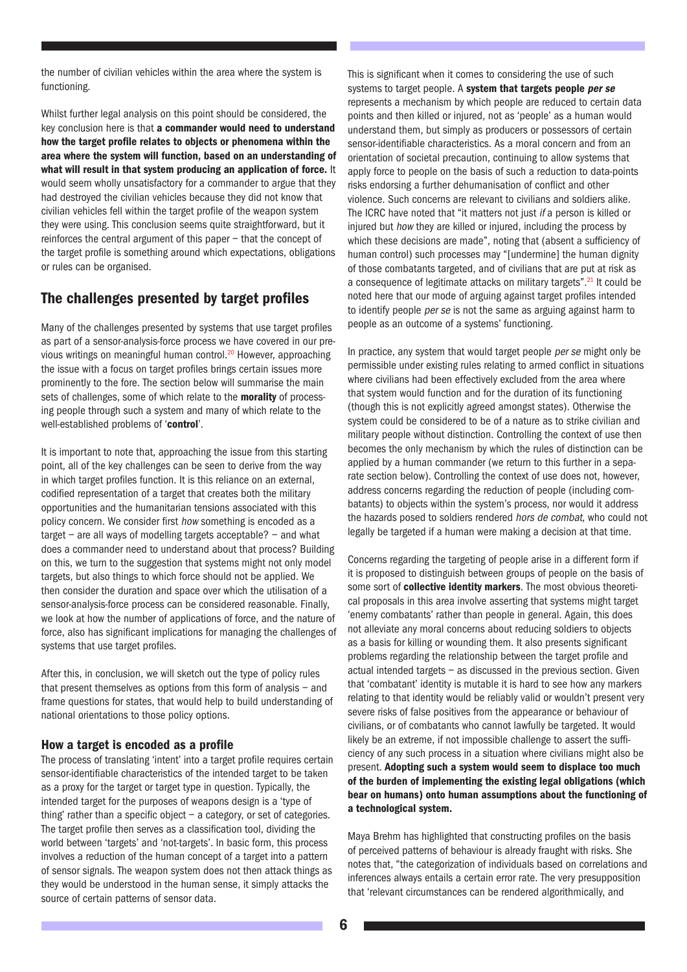the number of civilian vehicles within the area where the system is functioning.

Whilst further legal analysis on this point should be considered, the key conclusion here is that a commander would need to understand how the target profile relates to objects or phenomena within the area where the system will function, based on an understanding of what will result in that system producing an application of force. It would seem wholly unsatisfactory for a commander to argue that they had destroyed the civilian vehicles because they did not know that civilian vehicles fell within the target profile of the weapon system they were using. This conclusion seems quite straightforward, but it reinforces the central argument of this paper – that the concept of the target profile is something around which expectations, obligations or rules can be organised.

## The challenges presented by target profiles

Many of the challenges presented by systems that use target profiles as part of a sensor-analysis-force process we have covered in our previous writings on meaningful human control.<sup>20</sup> However, approaching the issue with a focus on target profiles brings certain issues more prominently to the fore. The section below will summarise the main sets of challenges, some of which relate to the morality of processing people through such a system and many of which relate to the well-established problems of 'control'.

It is important to note that, approaching the issue from this starting point, all of the key challenges can be seen to derive from the way in which target profiles function. It is this reliance on an external, codified representation of a target that creates both the military opportunities and the humanitarian tensions associated with this policy concern. We consider first how something is encoded as a target – are all ways of modelling targets acceptable? – and what does a commander need to understand about that process? Building on this, we turn to the suggestion that systems might not only model targets, but also things to which force should not be applied. We then consider the duration and space over which the utilisation of a sensor-analysis-force process can be considered reasonable. Finally, we look at how the number of applications of force, and the nature of force, also has significant implications for managing the challenges of systems that use target profiles.

After this, in conclusion, we will sketch out the type of policy rules that present themselves as options from this form of analysis – and frame questions for states, that would help to build understanding of national orientations to those policy options.

#### How a target is encoded as a profile

The process of translating 'intent' into a target profile requires certain sensor-identifiable characteristics of the intended target to be taken as a proxy for the target or target type in question. Typically, the intended target for the purposes of weapons design is a 'type of thing' rather than a specific object – a category, or set of categories. The target profile then serves as a classification tool, dividing the world between 'targets' and 'not-targets'. In basic form, this process involves a reduction of the human concept of a target into a pattern of sensor signals. The weapon system does not then attack things as they would be understood in the human sense, it simply attacks the source of certain patterns of sensor data.

This is significant when it comes to considering the use of such systems to target people. A system that targets people per se represents a mechanism by which people are reduced to certain data points and then killed or injured, not as 'people' as a human would understand them, but simply as producers or possessors of certain sensor-identifiable characteristics. As a moral concern and from an orientation of societal precaution, continuing to allow systems that apply force to people on the basis of such a reduction to data-points risks endorsing a further dehumanisation of conflict and other violence. Such concerns are relevant to civilians and soldiers alike. The ICRC have noted that "it matters not just if a person is killed or injured but how they are killed or injured, including the process by which these decisions are made", noting that (absent a sufficiency of human control) such processes may "[undermine] the human dignity of those combatants targeted, and of civilians that are put at risk as a consequence of legitimate attacks on military targets".<sup>21</sup> It could be noted here that our mode of arguing against target profiles intended to identify people *per se* is not the same as arguing against harm to people as an outcome of a systems' functioning.

In practice, any system that would target people per se might only be permissible under existing rules relating to armed conflict in situations where civilians had been effectively excluded from the area where that system would function and for the duration of its functioning (though this is not explicitly agreed amongst states). Otherwise the system could be considered to be of a nature as to strike civilian and military people without distinction. Controlling the context of use then becomes the only mechanism by which the rules of distinction can be applied by a human commander (we return to this further in a separate section below). Controlling the context of use does not, however, address concerns regarding the reduction of people (including combatants) to objects within the system's process, nor would it address the hazards posed to soldiers rendered hors de combat, who could not legally be targeted if a human were making a decision at that time.

Concerns regarding the targeting of people arise in a different form if it is proposed to distinguish between groups of people on the basis of some sort of collective identity markers. The most obvious theoretical proposals in this area involve asserting that systems might target 'enemy combatants' rather than people in general. Again, this does not alleviate any moral concerns about reducing soldiers to objects as a basis for killing or wounding them. It also presents significant problems regarding the relationship between the target profile and actual intended targets – as discussed in the previous section. Given that 'combatant' identity is mutable it is hard to see how any markers relating to that identity would be reliably valid or wouldn't present very severe risks of false positives from the appearance or behaviour of civilians, or of combatants who cannot lawfully be targeted. It would likely be an extreme, if not impossible challenge to assert the sufficiency of any such process in a situation where civilians might also be present. Adopting such a system would seem to displace too much of the burden of implementing the existing legal obligations (which bear on humans) onto human assumptions about the functioning of a technological system.

Maya Brehm has highlighted that constructing profiles on the basis of perceived patterns of behaviour is already fraught with risks. She notes that, "the categorization of individuals based on correlations and inferences always entails a certain error rate. The very presupposition that 'relevant circumstances can be rendered algorithmically, and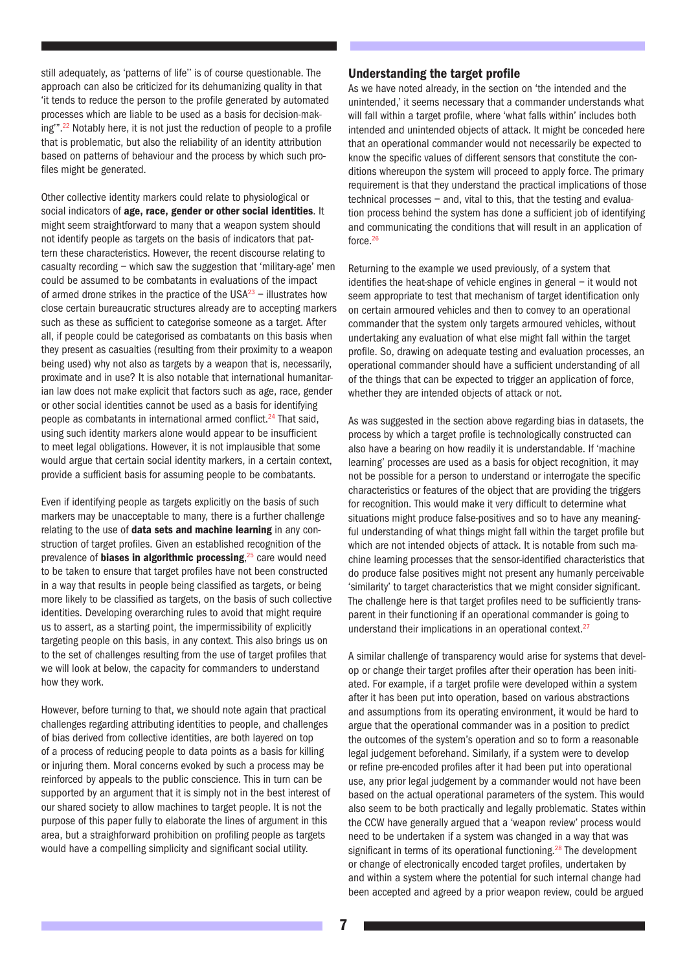still adequately, as 'patterns of life'' is of course questionable. The approach can also be criticized for its dehumanizing quality in that 'it tends to reduce the person to the profile generated by automated processes which are liable to be used as a basis for decision-making"<sup>".22</sup> Notably here, it is not just the reduction of people to a profile that is problematic, but also the reliability of an identity attribution based on patterns of behaviour and the process by which such profiles might be generated.

Other collective identity markers could relate to physiological or social indicators of age, race, gender or other social identities. It might seem straightforward to many that a weapon system should not identify people as targets on the basis of indicators that pattern these characteristics. However, the recent discourse relating to casualty recording – which saw the suggestion that 'military-age' men could be assumed to be combatants in evaluations of the impact of armed drone strikes in the practice of the  $USA^{23}$  – illustrates how close certain bureaucratic structures already are to accepting markers such as these as sufficient to categorise someone as a target. After all, if people could be categorised as combatants on this basis when they present as casualties (resulting from their proximity to a weapon being used) why not also as targets by a weapon that is, necessarily, proximate and in use? It is also notable that international humanitarian law does not make explicit that factors such as age, race, gender or other social identities cannot be used as a basis for identifying people as combatants in international armed conflict.<sup>24</sup> That said, using such identity markers alone would appear to be insufficient to meet legal obligations. However, it is not implausible that some would argue that certain social identity markers, in a certain context, provide a sufficient basis for assuming people to be combatants.

Even if identifying people as targets explicitly on the basis of such markers may be unacceptable to many, there is a further challenge relating to the use of **data sets and machine learning** in any construction of target profiles. Given an established recognition of the prevalence of biases in algorithmic processing,<sup>25</sup> care would need to be taken to ensure that target profiles have not been constructed in a way that results in people being classified as targets, or being more likely to be classified as targets, on the basis of such collective identities. Developing overarching rules to avoid that might require us to assert, as a starting point, the impermissibility of explicitly targeting people on this basis, in any context. This also brings us on to the set of challenges resulting from the use of target profiles that we will look at below, the capacity for commanders to understand how they work.

However, before turning to that, we should note again that practical challenges regarding attributing identities to people, and challenges of bias derived from collective identities, are both layered on top of a process of reducing people to data points as a basis for killing or injuring them. Moral concerns evoked by such a process may be reinforced by appeals to the public conscience. This in turn can be supported by an argument that it is simply not in the best interest of our shared society to allow machines to target people. It is not the purpose of this paper fully to elaborate the lines of argument in this area, but a straighforward prohibition on profiling people as targets would have a compelling simplicity and significant social utility.

#### Understanding the target profile

As we have noted already, in the section on 'the intended and the unintended,' it seems necessary that a commander understands what will fall within a target profile, where 'what falls within' includes both intended and unintended objects of attack. It might be conceded here that an operational commander would not necessarily be expected to know the specific values of different sensors that constitute the conditions whereupon the system will proceed to apply force. The primary requirement is that they understand the practical implications of those technical processes – and, vital to this, that the testing and evaluation process behind the system has done a sufficient job of identifying and communicating the conditions that will result in an application of force.26

Returning to the example we used previously, of a system that identifies the heat-shape of vehicle engines in general – it would not seem appropriate to test that mechanism of target identification only on certain armoured vehicles and then to convey to an operational commander that the system only targets armoured vehicles, without undertaking any evaluation of what else might fall within the target profile. So, drawing on adequate testing and evaluation processes, an operational commander should have a sufficient understanding of all of the things that can be expected to trigger an application of force, whether they are intended objects of attack or not.

As was suggested in the section above regarding bias in datasets, the process by which a target profile is technologically constructed can also have a bearing on how readily it is understandable. If 'machine learning' processes are used as a basis for object recognition, it may not be possible for a person to understand or interrogate the specific characteristics or features of the object that are providing the triggers for recognition. This would make it very difficult to determine what situations might produce false-positives and so to have any meaningful understanding of what things might fall within the target profile but which are not intended objects of attack. It is notable from such machine learning processes that the sensor-identified characteristics that do produce false positives might not present any humanly perceivable 'similarity' to target characteristics that we might consider significant. The challenge here is that target profiles need to be sufficiently transparent in their functioning if an operational commander is going to understand their implications in an operational context.<sup>27</sup>

A similar challenge of transparency would arise for systems that develop or change their target profiles after their operation has been initiated. For example, if a target profile were developed within a system after it has been put into operation, based on various abstractions and assumptions from its operating environment, it would be hard to argue that the operational commander was in a position to predict the outcomes of the system's operation and so to form a reasonable legal judgement beforehand. Similarly, if a system were to develop or refine pre-encoded profiles after it had been put into operational use, any prior legal judgement by a commander would not have been based on the actual operational parameters of the system. This would also seem to be both practically and legally problematic. States within the CCW have generally argued that a 'weapon review' process would need to be undertaken if a system was changed in a way that was significant in terms of its operational functioning.<sup>28</sup> The development or change of electronically encoded target profiles, undertaken by and within a system where the potential for such internal change had been accepted and agreed by a prior weapon review, could be argued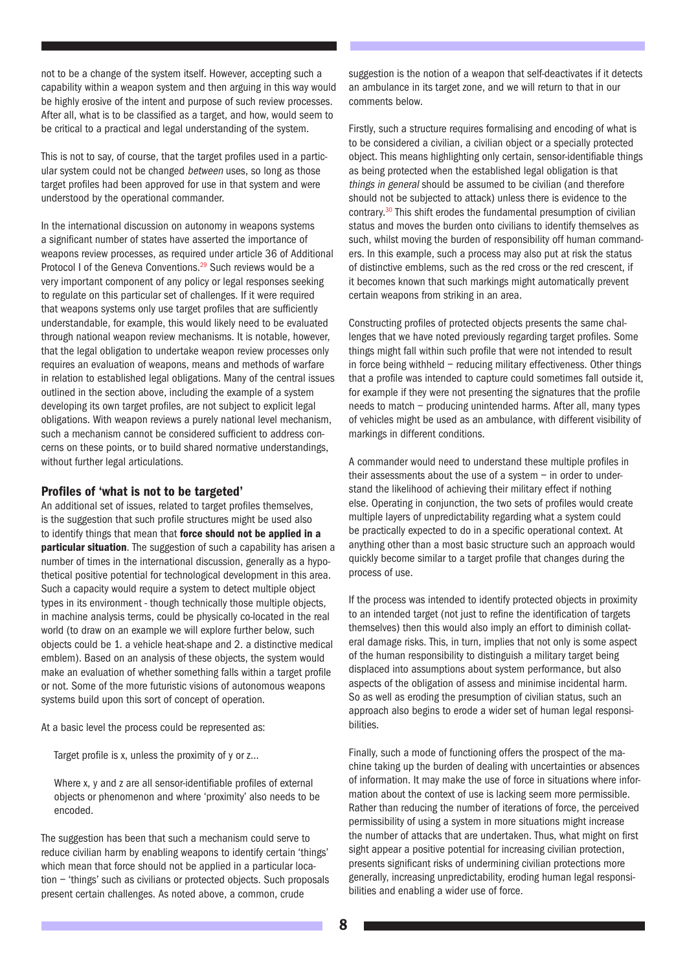not to be a change of the system itself. However, accepting such a capability within a weapon system and then arguing in this way would be highly erosive of the intent and purpose of such review processes. After all, what is to be classified as a target, and how, would seem to be critical to a practical and legal understanding of the system.

This is not to say, of course, that the target profiles used in a particular system could not be changed between uses, so long as those target profiles had been approved for use in that system and were understood by the operational commander.

In the international discussion on autonomy in weapons systems a significant number of states have asserted the importance of weapons review processes, as required under article 36 of Additional Protocol I of the Geneva Conventions.<sup>29</sup> Such reviews would be a very important component of any policy or legal responses seeking to regulate on this particular set of challenges. If it were required that weapons systems only use target profiles that are sufficiently understandable, for example, this would likely need to be evaluated through national weapon review mechanisms. It is notable, however, that the legal obligation to undertake weapon review processes only requires an evaluation of weapons, means and methods of warfare in relation to established legal obligations. Many of the central issues outlined in the section above, including the example of a system developing its own target profiles, are not subject to explicit legal obligations. With weapon reviews a purely national level mechanism, such a mechanism cannot be considered sufficient to address concerns on these points, or to build shared normative understandings, without further legal articulations.

#### Profiles of 'what is not to be targeted'

An additional set of issues, related to target profiles themselves, is the suggestion that such profile structures might be used also to identify things that mean that force should not be applied in a **particular situation**. The suggestion of such a capability has arisen a number of times in the international discussion, generally as a hypothetical positive potential for technological development in this area. Such a capacity would require a system to detect multiple object types in its environment - though technically those multiple objects, in machine analysis terms, could be physically co-located in the real world (to draw on an example we will explore further below, such objects could be 1. a vehicle heat-shape and 2. a distinctive medical emblem). Based on an analysis of these objects, the system would make an evaluation of whether something falls within a target profile or not. Some of the more futuristic visions of autonomous weapons systems build upon this sort of concept of operation.

At a basic level the process could be represented as:

Target profile is x, unless the proximity of y or z…

Where x, y and z are all sensor-identifiable profiles of external objects or phenomenon and where 'proximity' also needs to be encoded.

The suggestion has been that such a mechanism could serve to reduce civilian harm by enabling weapons to identify certain 'things' which mean that force should not be applied in a particular location – 'things' such as civilians or protected objects. Such proposals present certain challenges. As noted above, a common, crude

suggestion is the notion of a weapon that self-deactivates if it detects an ambulance in its target zone, and we will return to that in our comments below.

Firstly, such a structure requires formalising and encoding of what is to be considered a civilian, a civilian object or a specially protected object. This means highlighting only certain, sensor-identifiable things as being protected when the established legal obligation is that things in general should be assumed to be civilian (and therefore should not be subjected to attack) unless there is evidence to the contrary.30 This shift erodes the fundamental presumption of civilian status and moves the burden onto civilians to identify themselves as such, whilst moving the burden of responsibility off human commanders. In this example, such a process may also put at risk the status of distinctive emblems, such as the red cross or the red crescent, if it becomes known that such markings might automatically prevent certain weapons from striking in an area.

Constructing profiles of protected objects presents the same challenges that we have noted previously regarding target profiles. Some things might fall within such profile that were not intended to result in force being withheld – reducing military effectiveness. Other things that a profile was intended to capture could sometimes fall outside it, for example if they were not presenting the signatures that the profile needs to match – producing unintended harms. After all, many types of vehicles might be used as an ambulance, with different visibility of markings in different conditions.

A commander would need to understand these multiple profiles in their assessments about the use of a system  $-$  in order to understand the likelihood of achieving their military effect if nothing else. Operating in conjunction, the two sets of profiles would create multiple layers of unpredictability regarding what a system could be practically expected to do in a specific operational context. At anything other than a most basic structure such an approach would quickly become similar to a target profile that changes during the process of use.

If the process was intended to identify protected objects in proximity to an intended target (not just to refine the identification of targets themselves) then this would also imply an effort to diminish collateral damage risks. This, in turn, implies that not only is some aspect of the human responsibility to distinguish a military target being displaced into assumptions about system performance, but also aspects of the obligation of assess and minimise incidental harm. So as well as eroding the presumption of civilian status, such an approach also begins to erode a wider set of human legal responsibilities.

Finally, such a mode of functioning offers the prospect of the machine taking up the burden of dealing with uncertainties or absences of information. It may make the use of force in situations where information about the context of use is lacking seem more permissible. Rather than reducing the number of iterations of force, the perceived permissibility of using a system in more situations might increase the number of attacks that are undertaken. Thus, what might on first sight appear a positive potential for increasing civilian protection, presents significant risks of undermining civilian protections more generally, increasing unpredictability, eroding human legal responsibilities and enabling a wider use of force.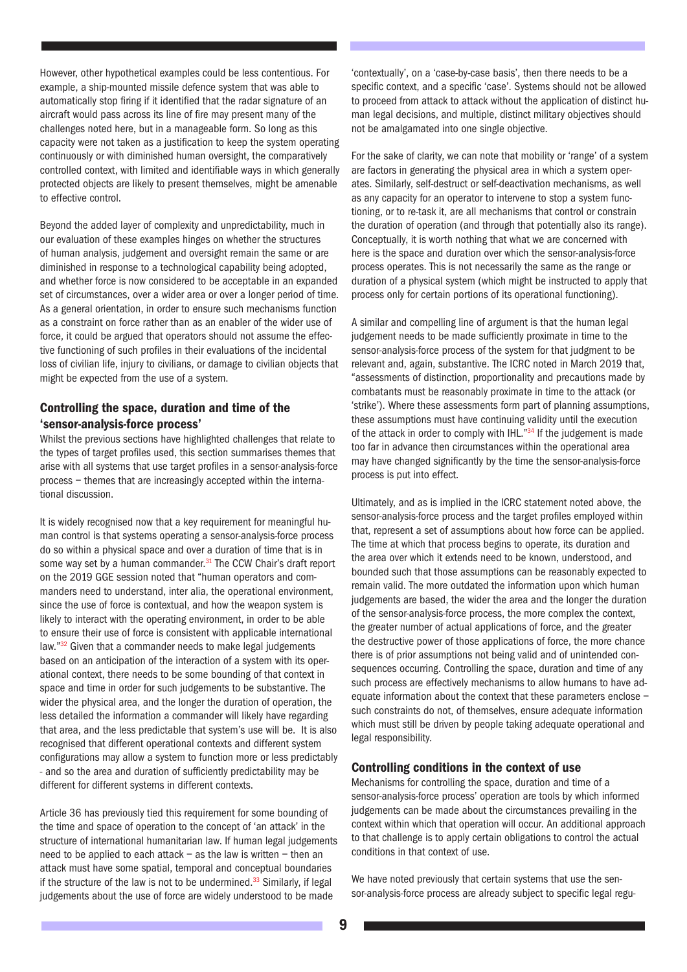However, other hypothetical examples could be less contentious. For example, a ship-mounted missile defence system that was able to automatically stop firing if it identified that the radar signature of an aircraft would pass across its line of fire may present many of the challenges noted here, but in a manageable form. So long as this capacity were not taken as a justification to keep the system operating continuously or with diminished human oversight, the comparatively controlled context, with limited and identifiable ways in which generally protected objects are likely to present themselves, might be amenable to effective control.

Beyond the added layer of complexity and unpredictability, much in our evaluation of these examples hinges on whether the structures of human analysis, judgement and oversight remain the same or are diminished in response to a technological capability being adopted, and whether force is now considered to be acceptable in an expanded set of circumstances, over a wider area or over a longer period of time. As a general orientation, in order to ensure such mechanisms function as a constraint on force rather than as an enabler of the wider use of force, it could be argued that operators should not assume the effective functioning of such profiles in their evaluations of the incidental loss of civilian life, injury to civilians, or damage to civilian objects that might be expected from the use of a system.

#### Controlling the space, duration and time of the 'sensor-analysis-force process'

Whilst the previous sections have highlighted challenges that relate to the types of target profiles used, this section summarises themes that arise with all systems that use target profiles in a sensor-analysis-force process – themes that are increasingly accepted within the international discussion.

It is widely recognised now that a key requirement for meaningful human control is that systems operating a sensor-analysis-force process do so within a physical space and over a duration of time that is in some way set by a human commander.<sup>31</sup> The CCW Chair's draft report on the 2019 GGE session noted that "human operators and commanders need to understand, inter alia, the operational environment, since the use of force is contextual, and how the weapon system is likely to interact with the operating environment, in order to be able to ensure their use of force is consistent with applicable international law."32 Given that a commander needs to make legal judgements based on an anticipation of the interaction of a system with its operational context, there needs to be some bounding of that context in space and time in order for such judgements to be substantive. The wider the physical area, and the longer the duration of operation, the less detailed the information a commander will likely have regarding that area, and the less predictable that system's use will be. It is also recognised that different operational contexts and different system configurations may allow a system to function more or less predictably - and so the area and duration of sufficiently predictability may be different for different systems in different contexts.

Article 36 has previously tied this requirement for some bounding of the time and space of operation to the concept of 'an attack' in the structure of international humanitarian law. If human legal judgements need to be applied to each attack – as the law is written – then an attack must have some spatial, temporal and conceptual boundaries if the structure of the law is not to be undermined.<sup>33</sup> Similarly, if legal judgements about the use of force are widely understood to be made

'contextually', on a 'case-by-case basis', then there needs to be a specific context, and a specific 'case'. Systems should not be allowed to proceed from attack to attack without the application of distinct human legal decisions, and multiple, distinct military objectives should not be amalgamated into one single objective.

For the sake of clarity, we can note that mobility or 'range' of a system are factors in generating the physical area in which a system operates. Similarly, self-destruct or self-deactivation mechanisms, as well as any capacity for an operator to intervene to stop a system functioning, or to re-task it, are all mechanisms that control or constrain the duration of operation (and through that potentially also its range). Conceptually, it is worth nothing that what we are concerned with here is the space and duration over which the sensor-analysis-force process operates. This is not necessarily the same as the range or duration of a physical system (which might be instructed to apply that process only for certain portions of its operational functioning).

A similar and compelling line of argument is that the human legal judgement needs to be made sufficiently proximate in time to the sensor-analysis-force process of the system for that judgment to be relevant and, again, substantive. The ICRC noted in March 2019 that, "assessments of distinction, proportionality and precautions made by combatants must be reasonably proximate in time to the attack (or 'strike'). Where these assessments form part of planning assumptions, these assumptions must have continuing validity until the execution of the attack in order to comply with IHL."34 If the judgement is made too far in advance then circumstances within the operational area may have changed significantly by the time the sensor-analysis-force process is put into effect.

Ultimately, and as is implied in the ICRC statement noted above, the sensor-analysis-force process and the target profiles employed within that, represent a set of assumptions about how force can be applied. The time at which that process begins to operate, its duration and the area over which it extends need to be known, understood, and bounded such that those assumptions can be reasonably expected to remain valid. The more outdated the information upon which human judgements are based, the wider the area and the longer the duration of the sensor-analysis-force process, the more complex the context, the greater number of actual applications of force, and the greater the destructive power of those applications of force, the more chance there is of prior assumptions not being valid and of unintended consequences occurring. Controlling the space, duration and time of any such process are effectively mechanisms to allow humans to have adequate information about the context that these parameters enclose – such constraints do not, of themselves, ensure adequate information which must still be driven by people taking adequate operational and legal responsibility.

#### Controlling conditions in the context of use

Mechanisms for controlling the space, duration and time of a sensor-analysis-force process' operation are tools by which informed judgements can be made about the circumstances prevailing in the context within which that operation will occur. An additional approach to that challenge is to apply certain obligations to control the actual conditions in that context of use.

We have noted previously that certain systems that use the sensor-analysis-force process are already subject to specific legal regu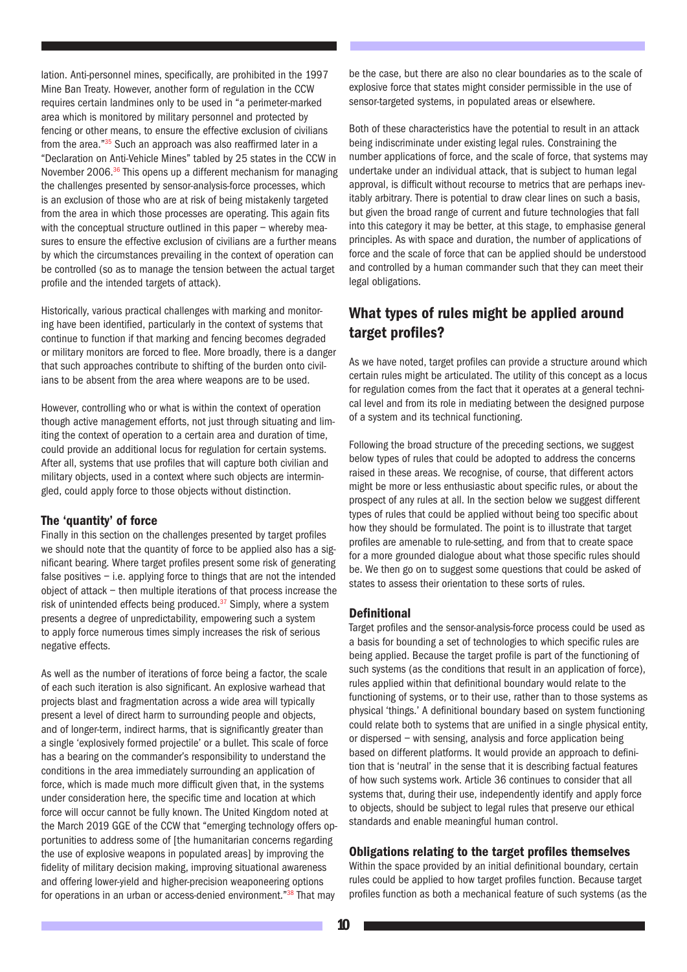lation. Anti-personnel mines, specifically, are prohibited in the 1997 Mine Ban Treaty. However, another form of regulation in the CCW requires certain landmines only to be used in "a perimeter-marked area which is monitored by military personnel and protected by fencing or other means, to ensure the effective exclusion of civilians from the area."<sup>35</sup> Such an approach was also reaffirmed later in a "Declaration on Anti-Vehicle Mines" tabled by 25 states in the CCW in November 2006.<sup>36</sup> This opens up a different mechanism for managing the challenges presented by sensor-analysis-force processes, which is an exclusion of those who are at risk of being mistakenly targeted from the area in which those processes are operating. This again fits with the conceptual structure outlined in this paper – whereby measures to ensure the effective exclusion of civilians are a further means by which the circumstances prevailing in the context of operation can be controlled (so as to manage the tension between the actual target profile and the intended targets of attack).

Historically, various practical challenges with marking and monitoring have been identified, particularly in the context of systems that continue to function if that marking and fencing becomes degraded or military monitors are forced to flee. More broadly, there is a danger that such approaches contribute to shifting of the burden onto civilians to be absent from the area where weapons are to be used.

However, controlling who or what is within the context of operation though active management efforts, not just through situating and limiting the context of operation to a certain area and duration of time, could provide an additional locus for regulation for certain systems. After all, systems that use profiles that will capture both civilian and military objects, used in a context where such objects are intermingled, could apply force to those objects without distinction.

#### The 'quantity' of force

Finally in this section on the challenges presented by target profiles we should note that the quantity of force to be applied also has a significant bearing. Where target profiles present some risk of generating false positives – i.e. applying force to things that are not the intended object of attack – then multiple iterations of that process increase the risk of unintended effects being produced. $37$  Simply, where a system presents a degree of unpredictability, empowering such a system to apply force numerous times simply increases the risk of serious negative effects.

As well as the number of iterations of force being a factor, the scale of each such iteration is also significant. An explosive warhead that projects blast and fragmentation across a wide area will typically present a level of direct harm to surrounding people and objects, and of longer-term, indirect harms, that is significantly greater than a single 'explosively formed projectile' or a bullet. This scale of force has a bearing on the commander's responsibility to understand the conditions in the area immediately surrounding an application of force, which is made much more difficult given that, in the systems under consideration here, the specific time and location at which force will occur cannot be fully known. The United Kingdom noted at the March 2019 GGE of the CCW that "emerging technology offers opportunities to address some of [the humanitarian concerns regarding the use of explosive weapons in populated areas] by improving the fidelity of military decision making, improving situational awareness and offering lower-yield and higher-precision weaponeering options for operations in an urban or access-denied environment."<sup>38</sup> That may

be the case, but there are also no clear boundaries as to the scale of explosive force that states might consider permissible in the use of sensor-targeted systems, in populated areas or elsewhere.

Both of these characteristics have the potential to result in an attack being indiscriminate under existing legal rules. Constraining the number applications of force, and the scale of force, that systems may undertake under an individual attack, that is subject to human legal approval, is difficult without recourse to metrics that are perhaps inevitably arbitrary. There is potential to draw clear lines on such a basis, but given the broad range of current and future technologies that fall into this category it may be better, at this stage, to emphasise general principles. As with space and duration, the number of applications of force and the scale of force that can be applied should be understood and controlled by a human commander such that they can meet their legal obligations.

## What types of rules might be applied around target profiles?

As we have noted, target profiles can provide a structure around which certain rules might be articulated. The utility of this concept as a locus for regulation comes from the fact that it operates at a general technical level and from its role in mediating between the designed purpose of a system and its technical functioning.

Following the broad structure of the preceding sections, we suggest below types of rules that could be adopted to address the concerns raised in these areas. We recognise, of course, that different actors might be more or less enthusiastic about specific rules, or about the prospect of any rules at all. In the section below we suggest different types of rules that could be applied without being too specific about how they should be formulated. The point is to illustrate that target profiles are amenable to rule-setting, and from that to create space for a more grounded dialogue about what those specific rules should be. We then go on to suggest some questions that could be asked of states to assess their orientation to these sorts of rules.

#### Definitional

Target profiles and the sensor-analysis-force process could be used as a basis for bounding a set of technologies to which specific rules are being applied. Because the target profile is part of the functioning of such systems (as the conditions that result in an application of force), rules applied within that definitional boundary would relate to the functioning of systems, or to their use, rather than to those systems as physical 'things.' A definitional boundary based on system functioning could relate both to systems that are unified in a single physical entity, or dispersed – with sensing, analysis and force application being based on different platforms. It would provide an approach to definition that is 'neutral' in the sense that it is describing factual features of how such systems work. Article 36 continues to consider that all systems that, during their use, independently identify and apply force to objects, should be subject to legal rules that preserve our ethical standards and enable meaningful human control.

#### Obligations relating to the target profiles themselves

Within the space provided by an initial definitional boundary, certain rules could be applied to how target profiles function. Because target profiles function as both a mechanical feature of such systems (as the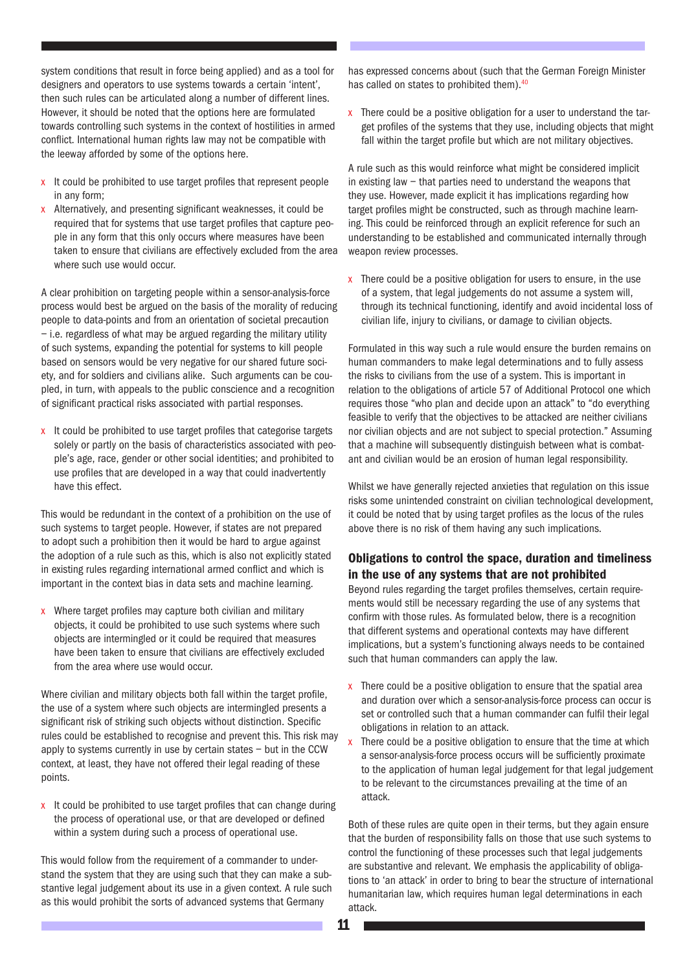system conditions that result in force being applied) and as a tool for designers and operators to use systems towards a certain 'intent', then such rules can be articulated along a number of different lines. However, it should be noted that the options here are formulated towards controlling such systems in the context of hostilities in armed conflict. International human rights law may not be compatible with the leeway afforded by some of the options here.

- x It could be prohibited to use target profiles that represent people in any form;
- x Alternatively, and presenting significant weaknesses, it could be required that for systems that use target profiles that capture people in any form that this only occurs where measures have been taken to ensure that civilians are effectively excluded from the area where such use would occur.

A clear prohibition on targeting people within a sensor-analysis-force process would best be argued on the basis of the morality of reducing people to data-points and from an orientation of societal precaution – i.e. regardless of what may be argued regarding the military utility of such systems, expanding the potential for systems to kill people based on sensors would be very negative for our shared future society, and for soldiers and civilians alike. Such arguments can be coupled, in turn, with appeals to the public conscience and a recognition of significant practical risks associated with partial responses.

x It could be prohibited to use target profiles that categorise targets solely or partly on the basis of characteristics associated with people's age, race, gender or other social identities; and prohibited to use profiles that are developed in a way that could inadvertently have this effect.

This would be redundant in the context of a prohibition on the use of such systems to target people. However, if states are not prepared to adopt such a prohibition then it would be hard to argue against the adoption of a rule such as this, which is also not explicitly stated in existing rules regarding international armed conflict and which is important in the context bias in data sets and machine learning.

x Where target profiles may capture both civilian and military objects, it could be prohibited to use such systems where such objects are intermingled or it could be required that measures have been taken to ensure that civilians are effectively excluded from the area where use would occur.

Where civilian and military objects both fall within the target profile, the use of a system where such objects are intermingled presents a significant risk of striking such objects without distinction. Specific rules could be established to recognise and prevent this. This risk may apply to systems currently in use by certain states – but in the CCW context, at least, they have not offered their legal reading of these points.

x It could be prohibited to use target profiles that can change during the process of operational use, or that are developed or defined within a system during such a process of operational use.

This would follow from the requirement of a commander to understand the system that they are using such that they can make a substantive legal judgement about its use in a given context. A rule such as this would prohibit the sorts of advanced systems that Germany

has expressed concerns about (such that the German Foreign Minister has called on states to prohibited them).<sup>40</sup>

 $\bar{x}$  There could be a positive obligation for a user to understand the target profiles of the systems that they use, including objects that might fall within the target profile but which are not military objectives.

A rule such as this would reinforce what might be considered implicit in existing law – that parties need to understand the weapons that they use. However, made explicit it has implications regarding how target profiles might be constructed, such as through machine learning. This could be reinforced through an explicit reference for such an understanding to be established and communicated internally through weapon review processes.

 $x$  There could be a positive obligation for users to ensure, in the use of a system, that legal judgements do not assume a system will, through its technical functioning, identify and avoid incidental loss of civilian life, injury to civilians, or damage to civilian objects.

Formulated in this way such a rule would ensure the burden remains on human commanders to make legal determinations and to fully assess the risks to civilians from the use of a system. This is important in relation to the obligations of article 57 of Additional Protocol one which requires those "who plan and decide upon an attack" to "do everything feasible to verify that the objectives to be attacked are neither civilians nor civilian objects and are not subject to special protection." Assuming that a machine will subsequently distinguish between what is combatant and civilian would be an erosion of human legal responsibility.

Whilst we have generally rejected anxieties that regulation on this issue risks some unintended constraint on civilian technological development, it could be noted that by using target profiles as the locus of the rules above there is no risk of them having any such implications.

#### Obligations to control the space, duration and timeliness in the use of any systems that are not prohibited

Beyond rules regarding the target profiles themselves, certain requirements would still be necessary regarding the use of any systems that confirm with those rules. As formulated below, there is a recognition that different systems and operational contexts may have different implications, but a system's functioning always needs to be contained such that human commanders can apply the law.

- $x$  There could be a positive obligation to ensure that the spatial area and duration over which a sensor-analysis-force process can occur is set or controlled such that a human commander can fulfil their legal obligations in relation to an attack.
- $x$  There could be a positive obligation to ensure that the time at which a sensor-analysis-force process occurs will be sufficiently proximate to the application of human legal judgement for that legal judgement to be relevant to the circumstances prevailing at the time of an attack.

Both of these rules are quite open in their terms, but they again ensure that the burden of responsibility falls on those that use such systems to control the functioning of these processes such that legal judgements are substantive and relevant. We emphasis the applicability of obligations to 'an attack' in order to bring to bear the structure of international humanitarian law, which requires human legal determinations in each attack.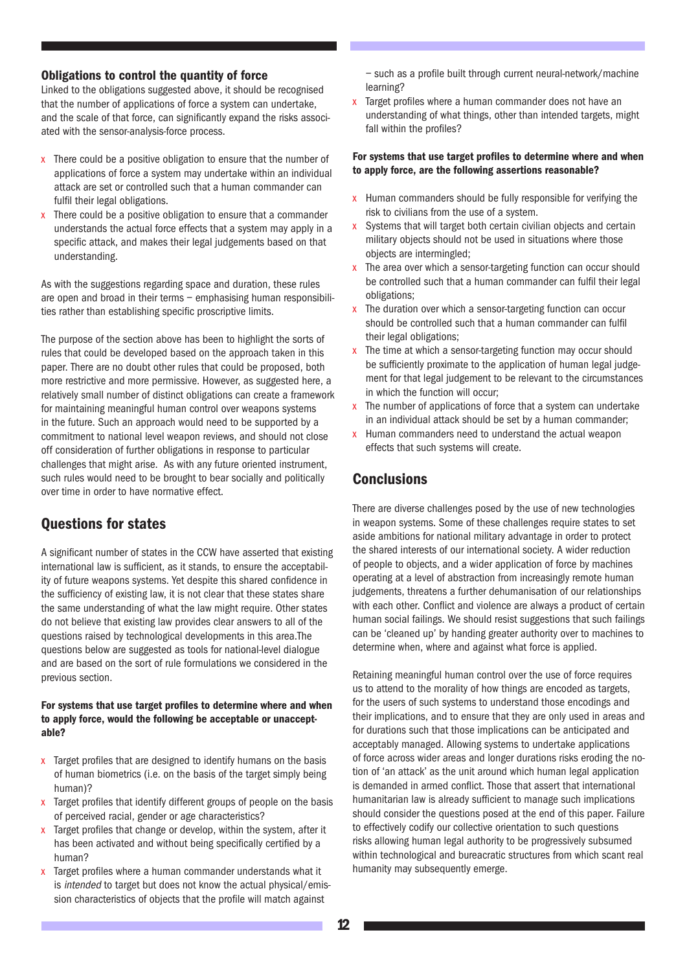#### Obligations to control the quantity of force

Linked to the obligations suggested above, it should be recognised that the number of applications of force a system can undertake, and the scale of that force, can significantly expand the risks associated with the sensor-analysis-force process.

- x There could be a positive obligation to ensure that the number of applications of force a system may undertake within an individual attack are set or controlled such that a human commander can fulfil their legal obligations.
- x There could be a positive obligation to ensure that a commander understands the actual force effects that a system may apply in a specific attack, and makes their legal judgements based on that understanding.

As with the suggestions regarding space and duration, these rules are open and broad in their terms – emphasising human responsibilities rather than establishing specific proscriptive limits.

The purpose of the section above has been to highlight the sorts of rules that could be developed based on the approach taken in this paper. There are no doubt other rules that could be proposed, both more restrictive and more permissive. However, as suggested here, a relatively small number of distinct obligations can create a framework for maintaining meaningful human control over weapons systems in the future. Such an approach would need to be supported by a commitment to national level weapon reviews, and should not close off consideration of further obligations in response to particular challenges that might arise. As with any future oriented instrument, such rules would need to be brought to bear socially and politically over time in order to have normative effect.

## Questions for states

A significant number of states in the CCW have asserted that existing international law is sufficient, as it stands, to ensure the acceptability of future weapons systems. Yet despite this shared confidence in the sufficiency of existing law, it is not clear that these states share the same understanding of what the law might require. Other states do not believe that existing law provides clear answers to all of the questions raised by technological developments in this area.The questions below are suggested as tools for national-level dialogue and are based on the sort of rule formulations we considered in the previous section.

#### For systems that use target profiles to determine where and when to apply force, would the following be acceptable or unacceptable?

- x Target profiles that are designed to identify humans on the basis of human biometrics (i.e. on the basis of the target simply being human)?
- x Target profiles that identify different groups of people on the basis of perceived racial, gender or age characteristics?
- x Target profiles that change or develop, within the system, after it has been activated and without being specifically certified by a human?
- $x$  Target profiles where a human commander understands what it is intended to target but does not know the actual physical/emission characteristics of objects that the profile will match against

– such as a profile built through current neural-network/machine learning?

x Target profiles where a human commander does not have an understanding of what things, other than intended targets, might fall within the profiles?

#### For systems that use target profiles to determine where and when to apply force, are the following assertions reasonable?

- x Human commanders should be fully responsible for verifying the risk to civilians from the use of a system.
- x Systems that will target both certain civilian objects and certain military objects should not be used in situations where those objects are intermingled;
- x The area over which a sensor-targeting function can occur should be controlled such that a human commander can fulfil their legal obligations;
- $x$  The duration over which a sensor-targeting function can occur should be controlled such that a human commander can fulfil their legal obligations;
- x The time at which a sensor-targeting function may occur should be sufficiently proximate to the application of human legal judgement for that legal judgement to be relevant to the circumstances in which the function will occur;
- $\overline{x}$  The number of applications of force that a system can undertake in an individual attack should be set by a human commander;
- x Human commanders need to understand the actual weapon effects that such systems will create.

## **Conclusions**

There are diverse challenges posed by the use of new technologies in weapon systems. Some of these challenges require states to set aside ambitions for national military advantage in order to protect the shared interests of our international society. A wider reduction of people to objects, and a wider application of force by machines operating at a level of abstraction from increasingly remote human judgements, threatens a further dehumanisation of our relationships with each other. Conflict and violence are always a product of certain human social failings. We should resist suggestions that such failings can be 'cleaned up' by handing greater authority over to machines to determine when, where and against what force is applied.

Retaining meaningful human control over the use of force requires us to attend to the morality of how things are encoded as targets, for the users of such systems to understand those encodings and their implications, and to ensure that they are only used in areas and for durations such that those implications can be anticipated and acceptably managed. Allowing systems to undertake applications of force across wider areas and longer durations risks eroding the notion of 'an attack' as the unit around which human legal application is demanded in armed conflict. Those that assert that international humanitarian law is already sufficient to manage such implications should consider the questions posed at the end of this paper. Failure to effectively codify our collective orientation to such questions risks allowing human legal authority to be progressively subsumed within technological and bureacratic structures from which scant real humanity may subsequently emerge.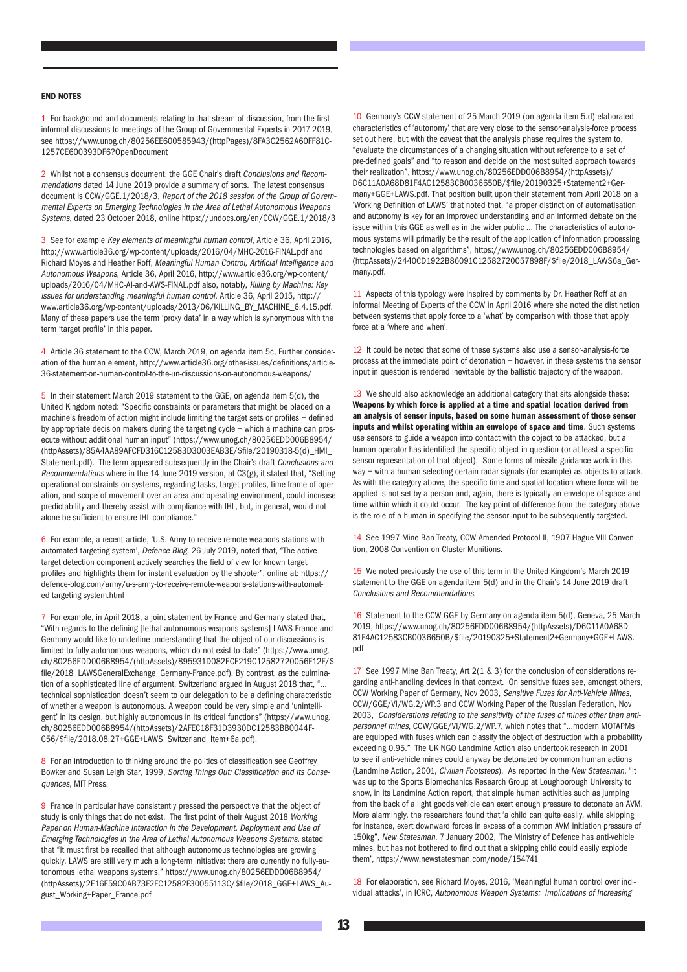#### END NOTES

1 For background and documents relating to that stream of discussion, from the first informal discussions to meetings of the Group of Governmental Experts in 2017-2019, see [https://www.unog.ch/80256EE600585943/\(httpPages\)/8FA3C2562A60FF81C-](https://www.unog.ch/80256EE600585943/(httpPages)/8FA3C2562A60FF81C1257CE600393DF6?OpenDocument)[1257CE600393DF6?OpenDocument](https://www.unog.ch/80256EE600585943/(httpPages)/8FA3C2562A60FF81C1257CE600393DF6?OpenDocument)

2 Whilst not a consensus document, the GGE Chair's draft Conclusions and Recommendations dated 14 June 2019 provide a summary of sorts. The latest consensus document is CCW/GGE.1/2018/3, Report of the 2018 session of the Group of Governmental Experts on Emerging Technologies in the Area of Lethal Autonomous Weapons Systems, dated 23 October 2018, online <https://undocs.org/en/CCW/GGE.1/2018/3>

3 See for example Key elements of meaningful human control, Article 36, April 2016, <http://www.article36.org/wp-content/uploads/2016/04/MHC-2016-FINAL.pdf>and Richard Moyes and Heather Roff, Meaningful Human Control, Artificial Intelligence and Autonomous Weapons, Article 36, April 2016, [http://www.article36.org/wp-content/](http://www.article36.org/wp-content/uploads/2016/04/MHC-AI-and-AWS-FINAL.pdf) [uploads/2016/04/MHC-AI-and-AWS-FINAL.pdf](http://www.article36.org/wp-content/uploads/2016/04/MHC-AI-and-AWS-FINAL.pdf) also, notably, Killing by Machine: Key issues for understanding meaningful human control, Article 36, April 2015, [http://](http://www.article36.org/wp-content/uploads/2013/06/KILLING_BY_MACHINE_6.4.15.pdf) [www.article36.org/wp-content/uploads/2013/06/KILLING\\_BY\\_MACHINE\\_6.4.15.pdf.](http://www.article36.org/wp-content/uploads/2013/06/KILLING_BY_MACHINE_6.4.15.pdf) Many of these papers use the term 'proxy data' in a way which is synonymous with the term 'target profile' in this paper.

4 Article 36 statement to the CCW, March 2019, on agenda item 5c, Further consideration of the human element, [http://www.article36.org/other-issues/definitions/article-](http://www.article36.org/other-issues/definitions/article-36-statement-on-human-control-to-the-un-discussions-on-autonomous-weapons/)[36-statement-on-human-control-to-the-un-discussions-on-autonomous-weapons/](http://www.article36.org/other-issues/definitions/article-36-statement-on-human-control-to-the-un-discussions-on-autonomous-weapons/)

5 In their statement March 2019 statement to the GGE, on agenda item 5(d), the United Kingdom noted: "Specific constraints or parameters that might be placed on a machine's freedom of action might include limiting the target sets or profiles – defined by appropriate decision makers during the targeting cycle – which a machine can prosecute without additional human input" ([https://www.unog.ch/80256EDD006B8954/](https://www.unog.ch/80256EDD006B8954/(httpAssets)/85A4AA89AFCFD316C12583D3003EAB3E/$file/20190318-5(d)_HMI_Statement.pdf) [\(httpAssets\)/85A4AA89AFCFD316C12583D3003EAB3E/\\$file/20190318-5\(d\)\\_HMI\\_](https://www.unog.ch/80256EDD006B8954/(httpAssets)/85A4AA89AFCFD316C12583D3003EAB3E/$file/20190318-5(d)_HMI_Statement.pdf) [Statement.pdf](https://www.unog.ch/80256EDD006B8954/(httpAssets)/85A4AA89AFCFD316C12583D3003EAB3E/$file/20190318-5(d)_HMI_Statement.pdf)). The term appeared subsequently in the Chair's draft Conclusions and Recommendations where in the 14 June 2019 version, at C3(g), it stated that, "Setting operational constraints on systems, regarding tasks, target profiles, time-frame of operation, and scope of movement over an area and operating environment, could increase predictability and thereby assist with compliance with IHL, but, in general, would not alone be sufficient to ensure IHL compliance."

6 For example, a recent article, 'U.S. Army to receive remote weapons stations with automated targeting system', Defence Blog, 26 July 2019, noted that, "The active target detection component actively searches the field of view for known target profiles and highlights them for instant evaluation by the shooter", online at: [https://](https://defence-blog.com/army/u-s-army-to-receive-remote-weapons-stations-with-automated-targeting-system.html) [defence-blog.com/army/u-s-army-to-receive-remote-weapons-stations-with-automat](https://defence-blog.com/army/u-s-army-to-receive-remote-weapons-stations-with-automated-targeting-system.html)[ed-targeting-system.html](https://defence-blog.com/army/u-s-army-to-receive-remote-weapons-stations-with-automated-targeting-system.html)

7 For example, in April 2018, a joint statement by France and Germany stated that, "With regards to the defining [lethal autonomous weapons systems] LAWS France and Germany would like to underline understanding that the object of our discussions is limited to fully autonomous weapons, which do not exist to date" [\(https://www.unog.](https://www.unog.ch/80256EDD006B8954/(httpAssets)/895931D082ECE219C12582720056F12F/$file/2018_LAWSGeneralExchange_Germany-France.pdf) [ch/80256EDD006B8954/\(httpAssets\)/895931D082ECE219C12582720056F12F/\\$](https://www.unog.ch/80256EDD006B8954/(httpAssets)/895931D082ECE219C12582720056F12F/$file/2018_LAWSGeneralExchange_Germany-France.pdf) [file/2018\\_LAWSGeneralExchange\\_Germany-France.pdf\)](https://www.unog.ch/80256EDD006B8954/(httpAssets)/895931D082ECE219C12582720056F12F/$file/2018_LAWSGeneralExchange_Germany-France.pdf). By contrast, as the culmination of a sophisticated line of argument, Switzerland argued in August 2018 that, "… technical sophistication doesn't seem to our delegation to be a defining characteristic of whether a weapon is autonomous. A weapon could be very simple and 'unintelligent' in its design, but highly autonomous in its critical functions" [\(https://www.unog.](https://www.unog.ch/80256EDD006B8954/(httpAssets)/2AFEC18F31D3930DC12583BB0044FC56/$file/2018.08.27+GGE+LAWS_Switzerland_Item+6a.pdf) [ch/80256EDD006B8954/\(httpAssets\)/2AFEC18F31D3930DC12583BB0044F-](https://www.unog.ch/80256EDD006B8954/(httpAssets)/2AFEC18F31D3930DC12583BB0044FC56/$file/2018.08.27+GGE+LAWS_Switzerland_Item+6a.pdf)[C56/\\$file/2018.08.27+GGE+LAWS\\_Switzerland\\_Item+6a.pdf\)](https://www.unog.ch/80256EDD006B8954/(httpAssets)/2AFEC18F31D3930DC12583BB0044FC56/$file/2018.08.27+GGE+LAWS_Switzerland_Item+6a.pdf).

8 For an introduction to thinking around the politics of classification see Geoffrey Bowker and Susan Leigh Star, 1999, Sorting Things Out: Classification and its Consequences, MIT Press.

9 France in particular have consistently pressed the perspective that the object of study is only things that do not exist. The first point of their August 2018 Working Paper on Human-Machine Interaction in the Development, Deployment and Use of Emerging Technologies in the Area of Lethal Autonomous Weapons Systems, stated that "It must first be recalled that although autonomous technologies are growing quickly, LAWS are still very much a long-term initiative: there are currently no fully-autonomous lethal weapons systems." [https://www.unog.ch/80256EDD006B8954/](https://www.unog.ch/80256EDD006B8954/(httpAssets)/2E16E59C0AB73F2FC12582F30055113C/$file/2018_GGE+LAWS_August_Working+Paper_France.pdf) [\(httpAssets\)/2E16E59C0AB73F2FC12582F30055113C/\\$file/2018\\_GGE+LAWS\\_Au](https://www.unog.ch/80256EDD006B8954/(httpAssets)/2E16E59C0AB73F2FC12582F30055113C/$file/2018_GGE+LAWS_August_Working+Paper_France.pdf)[gust\\_Working+Paper\\_France.pdf](https://www.unog.ch/80256EDD006B8954/(httpAssets)/2E16E59C0AB73F2FC12582F30055113C/$file/2018_GGE+LAWS_August_Working+Paper_France.pdf)

10 Germany's CCW statement of 25 March 2019 (on agenda item 5.d) elaborated characteristics of 'autonomy' that are very close to the sensor-analysis-force process set out here, but with the caveat that the analysis phase requires the system to, "evaluate the circumstances of a changing situation without reference to a set of pre-defined goals" and "to reason and decide on the most suited approach towards their realization", [https://www.unog.ch/80256EDD006B8954/\(httpAssets\)/](https://www.unog.ch/80256EDD006B8954/(httpAssets)/D6C11A0A68D81F4AC12583CB0036650B/$file/20190325+Statement2+Germany+GGE+LAWS.pdf) [D6C11A0A68D81F4AC12583CB0036650B/\\$file/20190325+Statement2+Ger](https://www.unog.ch/80256EDD006B8954/(httpAssets)/D6C11A0A68D81F4AC12583CB0036650B/$file/20190325+Statement2+Germany+GGE+LAWS.pdf)[many+GGE+LAWS.pdf](https://www.unog.ch/80256EDD006B8954/(httpAssets)/D6C11A0A68D81F4AC12583CB0036650B/$file/20190325+Statement2+Germany+GGE+LAWS.pdf). That position built upon their statement from April 2018 on a 'Working Definition of LAWS' that noted that, "a proper distinction of automatisation and autonomy is key for an improved understanding and an informed debate on the issue within this GGE as well as in the wider public … The characteristics of autonomous systems will primarily be the result of the application of information processing technologies based on algorithms", [https://www.unog.ch/80256EDD006B8954/](https://www.unog.ch/80256EDD006B8954/(httpAssets)/2440CD1922B86091C12582720057898F/$file/2018_LAWS6a_Germany.pdf) [\(httpAssets\)/2440CD1922B86091C12582720057898F/\\$file/2018\\_LAWS6a\\_Ger](https://www.unog.ch/80256EDD006B8954/(httpAssets)/2440CD1922B86091C12582720057898F/$file/2018_LAWS6a_Germany.pdf)[many.pdf.](https://www.unog.ch/80256EDD006B8954/(httpAssets)/2440CD1922B86091C12582720057898F/$file/2018_LAWS6a_Germany.pdf)

11 Aspects of this typology were inspired by comments by Dr. Heather Roff at an informal Meeting of Experts of the CCW in April 2016 where she noted the distinction between systems that apply force to a 'what' by comparison with those that apply force at a 'where and when'.

12 It could be noted that some of these systems also use a sensor-analysis-force process at the immediate point of detonation – however, in these systems the sensor input in question is rendered inevitable by the ballistic trajectory of the weapon.

13 We should also acknowledge an additional category that sits alongside these: Weapons by which force is applied at a time and spatial location derived from an analysis of sensor inputs, based on some human assessment of those sensor inputs and whilst operating within an envelope of space and time. Such systems use sensors to guide a weapon into contact with the object to be attacked, but a human operator has identified the specific object in question (or at least a specific sensor-representation of that object). Some forms of missile guidance work in this way – with a human selecting certain radar signals (for example) as objects to attack. As with the category above, the specific time and spatial location where force will be applied is not set by a person and, again, there is typically an envelope of space and time within which it could occur. The key point of difference from the category above is the role of a human in specifying the sensor-input to be subsequently targeted.

14 See 1997 Mine Ban Treaty, CCW Amended Protocol II, 1907 Hague VIII Convention, 2008 Convention on Cluster Munitions.

15 We noted previously the use of this term in the United Kingdom's March 2019 statement to the GGE on agenda item 5(d) and in the Chair's 14 June 2019 draft Conclusions and Recommendations.

16 Statement to the CCW GGE by Germany on agenda item 5(d), Geneva, 25 March 2019, [https://www.unog.ch/80256EDD006B8954/\(httpAssets\)/D6C11A0A68D-](https://www.unog.ch/80256EDD006B8954/(httpAssets)/D6C11A0A68D81F4AC12583CB0036650B/$file/20190325+Statement2+Germany+GGE+LAWS.pdf)[81F4AC12583CB0036650B/\\$file/20190325+Statement2+Germany+GGE+LAWS.](https://www.unog.ch/80256EDD006B8954/(httpAssets)/D6C11A0A68D81F4AC12583CB0036650B/$file/20190325+Statement2+Germany+GGE+LAWS.pdf) [pdf](https://www.unog.ch/80256EDD006B8954/(httpAssets)/D6C11A0A68D81F4AC12583CB0036650B/$file/20190325+Statement2+Germany+GGE+LAWS.pdf)

17 See 1997 Mine Ban Treaty, Art 2(1 & 3) for the conclusion of considerations regarding anti-handling devices in that context. On sensitive fuzes see, amongst others, CCW Working Paper of Germany, Nov 2003, Sensitive Fuzes for Anti-Vehicle Mines, CCW/GGE/VI/WG.2/WP.3 and CCW Working Paper of the Russian Federation, Nov 2003, Considerations relating to the sensitivity of the fuses of mines other than antipersonnel mines, CCW/GGE/VI/WG.2/WP.7, which notes that "…modern MOTAPMs are equipped with fuses which can classify the object of destruction with a probability exceeding 0.95." The UK NGO Landmine Action also undertook research in 2001 to see if anti-vehicle mines could anyway be detonated by common human actions (Landmine Action, 2001, Civilian Footsteps). As reported in the New Statesman, "it was up to the Sports Biomechanics Research Group at Loughborough University to show, in its Landmine Action report, that simple human activities such as jumping from the back of a light goods vehicle can exert enough pressure to detonate an AVM. More alarmingly, the researchers found that 'a child can quite easily, while skipping for instance, exert downward forces in excess of a common AVM initiation pressure of 150kg", New Statesman, 7 January 2002, 'The Ministry of Defence has anti-vehicle mines, but has not bothered to find out that a skipping child could easily explode them',<https://www.newstatesman.com/node/154741>

18 For elaboration, see Richard Moyes, 2016, 'Meaningful human control over individual attacks', in ICRC, Autonomous Weapon Systems: Implications of Increasing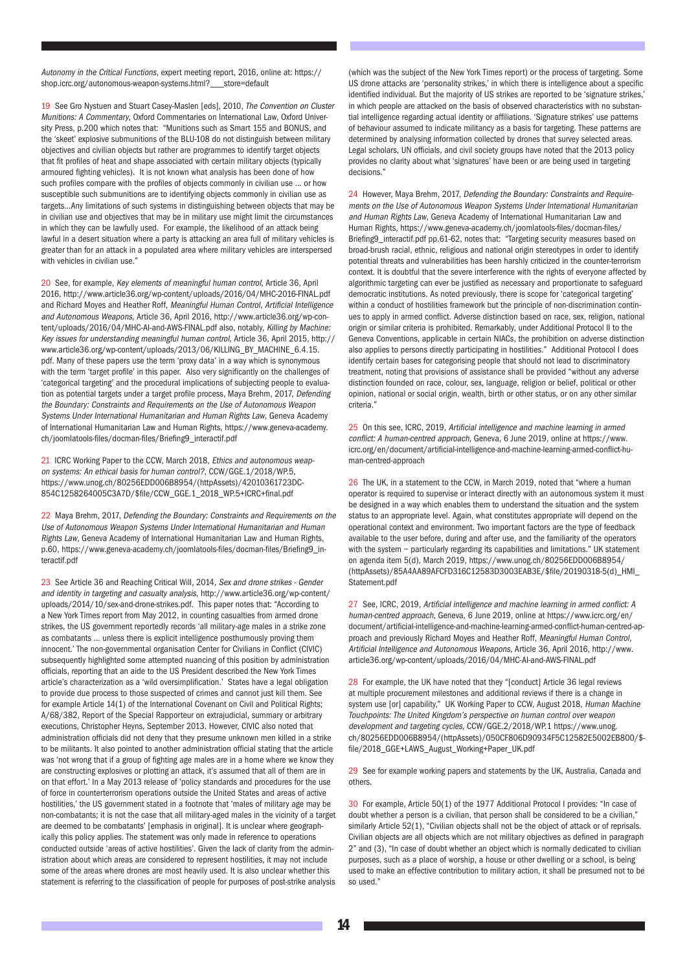Autonomy in the Critical Functions, expert meeting report, 2016, online at: [https://](https://shop.icrc.org/autonomous-weapon-systems.html?___store=default) [shop.icrc.org/autonomous-weapon-systems.html?\\_\\_\\_store=default](https://shop.icrc.org/autonomous-weapon-systems.html?___store=default)

19 See Gro Nystuen and Stuart Casey-Maslen [eds], 2010, The Convention on Cluster Munitions: A Commentary, Oxford Commentaries on International Law, Oxford University Press, p.200 which notes that: "Munitions such as Smart 155 and BONUS, and the 'skeet' explosive submunitions of the BLU-108 do not distinguish between military objectives and civilian objects but rather are programmes to identify target objects that fit profiles of heat and shape associated with certain military objects (typically armoured fighting vehicles). It is not known what analysis has been done of how such profiles compare with the profiles of objects commonly in civilian use … or how susceptible such submunitions are to identifying objects commonly in civilian use as targets...Any limitations of such systems in distinguishing between objects that may be in civilian use and objectives that may be in military use might limit the circumstances in which they can be lawfully used. For example, the likelihood of an attack being lawful in a desert situation where a party is attacking an area full of military vehicles is greater than for an attack in a populated area where military vehicles are interspersed with vehicles in civilian use."

20 See, for example, Key elements of meaningful human control, Article 36, April 2016,<http://www.article36.org/wp-content/uploads/2016/04/MHC-2016-FINAL.pdf> and Richard Moyes and Heather Roff, Meaningful Human Control, Artificial Intelligence and Autonomous Weapons, Article 36, April 2016, [http://www.article36.org/wp-con](http://www.article36.org/wp-content/uploads/2016/04/MHC-AI-and-AWS-FINAL.pdf)[tent/uploads/2016/04/MHC-AI-and-AWS-FINAL.pdf](http://www.article36.org/wp-content/uploads/2016/04/MHC-AI-and-AWS-FINAL.pdf) also, notably, Killing by Machine: Key issues for understanding meaningful human control, Article 36, April 2015, [http://](http://www.article36.org/wp-content/uploads/2013/06/KILLING_BY_MACHINE_6.4.15.pdf) [www.article36.org/wp-content/uploads/2013/06/KILLING\\_BY\\_MACHINE\\_6.4.15.](http://www.article36.org/wp-content/uploads/2013/06/KILLING_BY_MACHINE_6.4.15.pdf) [pdf](http://www.article36.org/wp-content/uploads/2013/06/KILLING_BY_MACHINE_6.4.15.pdf). Many of these papers use the term 'proxy data' in a way which is synonymous with the term 'target profile' in this paper. Also very significantly on the challenges of 'categorical targeting' and the procedural implications of subjecting people to evaluation as potential targets under a target profile process, Maya Brehm, 2017, Defending the Boundary: Constraints and Requirements on the Use of Autonomous Weapon Systems Under International Humanitarian and Human Rights Law, Geneva Academy of International Humanitarian Law and Human Rights, [https://www.geneva-academy.](https://www.geneva-academy.ch/joomlatools-files/docman-files/Briefing9_interactif.pdf) [ch/joomlatools-files/docman-files/Briefing9\\_interactif.pdf](https://www.geneva-academy.ch/joomlatools-files/docman-files/Briefing9_interactif.pdf)

21 ICRC Working Paper to the CCW, March 2018, Ethics and autonomous weapon systems: An ethical basis for human control?, CCW/GGE.1/2018/WP.5, [https://www.unog.ch/80256EDD006B8954/\(httpAssets\)/42010361723DC-](https://www.unog.ch/80256EDD006B8954/(httpAssets)/42010361723DC854C1258264005C3A7D/$file/CCW_GGE.1_2018_WP.5+ICRC+final.pdf)[854C1258264005C3A7D/\\$file/CCW\\_GGE.1\\_2018\\_WP.5+ICRC+final.pdf](https://www.unog.ch/80256EDD006B8954/(httpAssets)/42010361723DC854C1258264005C3A7D/$file/CCW_GGE.1_2018_WP.5+ICRC+final.pdf)

22 Maya Brehm, 2017, Defending the Boundary: Constraints and Requirements on the Use of Autonomous Weapon Systems Under International Humanitarian and Human Rights Law, Geneva Academy of International Humanitarian Law and Human Rights, p.60, [https://www.geneva-academy.ch/joomlatools-files/docman-files/Briefing9\\_in](https://www.geneva-academy.ch/joomlatools-files/docman-files/Briefing9_interactif.pdf)[teractif.pdf](https://www.geneva-academy.ch/joomlatools-files/docman-files/Briefing9_interactif.pdf)

23 See Article 36 and Reaching Critical Will, 2014, Sex and drone strikes - Gender and identity in targeting and casualty analysis, [http://www.article36.org/wp-content/](http://www.article36.org/wp-content/uploads/2014/10/sex-and-drone-strikes.pdf) [uploads/2014/10/sex-and-drone-strikes.pdf.](http://www.article36.org/wp-content/uploads/2014/10/sex-and-drone-strikes.pdf) This paper notes that: "According to a New York Times report from May 2012, in counting casualties from armed drone strikes, the US government reportedly records 'all military-age males in a strike zone as combatants ... unless there is explicit intelligence posthumously proving them innocent.' The non-governmental organisation Center for Civilians in Conflict (CIVIC) subsequently highlighted some attempted nuancing of this position by administration officials, reporting that an aide to the US President described the New York Times article's characterization as a 'wild oversimplification.' States have a legal obligation to provide due process to those suspected of crimes and cannot just kill them. See for example Article 14(1) of the International Covenant on Civil and Political Rights; A/68/382, Report of the Special Rapporteur on extrajudicial, summary or arbitrary executions, Christopher Heyns, September 2013. However, CIVIC also noted that administration officials did not deny that they presume unknown men killed in a strike to be militants. It also pointed to another administration official stating that the article was 'not wrong that if a group of fighting age males are in a home where we know they are constructing explosives or plotting an attack, it's assumed that all of them are in on that effort.' In a May 2013 release of 'policy standards and procedures for the use of force in counterterrorism operations outside the United States and areas of active hostilities,' the US government stated in a footnote that 'males of military age may be non-combatants; it is not the case that all military-aged males in the vicinity of a target are deemed to be combatants' [emphasis in original]. It is unclear where geographically this policy applies. The statement was only made in reference to operations conducted outside 'areas of active hostilities'. Given the lack of clarity from the administration about which areas are considered to represent hostilities, it may not include some of the areas where drones are most heavily used. It is also unclear whether this statement is referring to the classification of people for purposes of post-strike analysis

(which was the subject of the New York Times report) or the process of targeting. Some US drone attacks are 'personality strikes,' in which there is intelligence about a specific identified individual. But the majority of US strikes are reported to be 'signature strikes,' in which people are attacked on the basis of observed characteristics with no substantial intelligence regarding actual identity or affiliations. 'Signature strikes' use patterns of behaviour assumed to indicate militancy as a basis for targeting. These patterns are determined by analysing information collected by drones that survey selected areas. Legal scholars, UN officials, and civil society groups have noted that the 2013 policy provides no clarity about what 'signatures' have been or are being used in targeting decisions."

24 However, Maya Brehm, 2017, Defending the Boundary: Constraints and Requirements on the Use of Autonomous Weapon Systems Under International Humanitarian and Human Rights Law, Geneva Academy of International Humanitarian Law and Human Rights, [https://www.geneva-academy.ch/joomlatools-files/docman-files/](https://www.geneva-academy.ch/joomlatools-files/docman-files/Briefing9_interactif.pdf) [Briefing9\\_interactif.pdf](https://www.geneva-academy.ch/joomlatools-files/docman-files/Briefing9_interactif.pdf) pp.61-62, notes that: "Targeting security measures based on broad-brush racial, ethnic, religious and national origin stereotypes in order to identify potential threats and vulnerabilities has been harshly criticized in the counter-terrorism context. It is doubtful that the severe interference with the rights of everyone affected by algorithmic targeting can ever be justified as necessary and proportionate to safeguard democratic institutions. As noted previously, there is scope for 'categorical targeting' within a conduct of hostilities framework but the principle of non-discrimination continues to apply in armed conflict. Adverse distinction based on race, sex, religion, national origin or similar criteria is prohibited. Remarkably, under Additional Protocol II to the Geneva Conventions, applicable in certain NIACs, the prohibition on adverse distinction also applies to persons directly participating in hostilities." Additional Protocol I does identify certain bases for categorising people that should not lead to discriminatory treatment, noting that provisions of assistance shall be provided "without any adverse distinction founded on race, colour, sex, language, religion or belief, political or other opinion, national or social origin, wealth, birth or other status, or on any other similar criteria."

25 On this see, ICRC, 2019, Artificial intelligence and machine learning in armed conflict: A human-centred approach, Geneva, 6 June 2019, online at [https://www.](https://www.icrc.org/en/document/artificial-intelligence-and-machine-learning-armed-conflict-human-centred-approach) [icrc.org/en/document/artificial-intelligence-and-machine-learning-armed-conflict-hu](https://www.icrc.org/en/document/artificial-intelligence-and-machine-learning-armed-conflict-human-centred-approach)[man-centred-approach](https://www.icrc.org/en/document/artificial-intelligence-and-machine-learning-armed-conflict-human-centred-approach)

26 The UK, in a statement to the CCW, in March 2019, noted that "where a human operator is required to supervise or interact directly with an autonomous system it must be designed in a way which enables them to understand the situation and the system status to an appropriate level. Again, what constitutes appropriate will depend on the operational context and environment. Two important factors are the type of feedback available to the user before, during and after use, and the familiarity of the operators with the system - particularly regarding its capabilities and limitations." UK statement on agenda item 5(d), March 2019, [https://www.unog.ch/80256EDD006B8954/](https://www.unog.ch/80256EDD006B8954/(httpAssets)/85A4AA89AFCFD316C12583D3003EAB3E/$file/20190318-5(d)_HMI_Statement.pdf) [\(httpAssets\)/85A4AA89AFCFD316C12583D3003EAB3E/\\$file/20190318-5\(d\)\\_HMI\\_](https://www.unog.ch/80256EDD006B8954/(httpAssets)/85A4AA89AFCFD316C12583D3003EAB3E/$file/20190318-5(d)_HMI_Statement.pdf) [Statement.pdf](https://www.unog.ch/80256EDD006B8954/(httpAssets)/85A4AA89AFCFD316C12583D3003EAB3E/$file/20190318-5(d)_HMI_Statement.pdf)

27 See, ICRC, 2019, Artificial intelligence and machine learning in armed conflict: A human-centred approach, Geneva, 6 June 2019, online at [https://www.icrc.org/en/](https://www.icrc.org/en/document/artificial-intelligence-and-machine-learning-armed-conflict-human-centred-approach) [document/artificial-intelligence-and-machine-learning-armed-conflict-human-centred-ap](https://www.icrc.org/en/document/artificial-intelligence-and-machine-learning-armed-conflict-human-centred-approach)[proach](https://www.icrc.org/en/document/artificial-intelligence-and-machine-learning-armed-conflict-human-centred-approach) and previously Richard Moyes and Heather Roff, Meaningful Human Control, Artificial Intelligence and Autonomous Weapons, Article 36, April 2016, [http://www.](http://www.article36.org/wp-content/uploads/2016/04/MHC-AI-and-AWS-FINAL.pdf) [article36.org/wp-content/uploads/2016/04/MHC-AI-and-AWS-FINAL.pdf](http://www.article36.org/wp-content/uploads/2016/04/MHC-AI-and-AWS-FINAL.pdf)

28 For example, the UK have noted that they "[conduct] Article 36 legal reviews at multiple procurement milestones and additional reviews if there is a change in system use [or] capability," UK Working Paper to CCW, August 2018, Human Machine Touchpoints: The United Kingdom's perspective on human control over weapon development and targeting cycles, CCW/GGE.2/2018/WP.1 [https://www.unog.](https://www.unog.ch/80256EDD006B8954/(httpAssets)/050CF806D90934F5C12582E5002EB800/$file/2018_GGE+LAWS_August_Working+Paper_UK.pdf) [ch/80256EDD006B8954/\(httpAssets\)/050CF806D90934F5C12582E5002EB800/\\$](https://www.unog.ch/80256EDD006B8954/(httpAssets)/050CF806D90934F5C12582E5002EB800/$file/2018_GGE+LAWS_August_Working+Paper_UK.pdf) [file/2018\\_GGE+LAWS\\_August\\_Working+Paper\\_UK.pdf](https://www.unog.ch/80256EDD006B8954/(httpAssets)/050CF806D90934F5C12582E5002EB800/$file/2018_GGE+LAWS_August_Working+Paper_UK.pdf)

29 See for example working papers and statements by the UK, Australia, Canada and others.

30 For example, Article 50(1) of the 1977 Additional Protocol I provides: "In case of doubt whether a person is a civilian, that person shall be considered to be a civilian," similarly Article 52(1), "Civilian objects shall not be the object of attack or of reprisals. Civilian objects are all objects which are not military objectives as defined in paragraph 2" and (3), "In case of doubt whether an object which is normally dedicated to civilian purposes, such as a place of worship, a house or other dwelling or a school, is being used to make an effective contribution to military action, it shall be presumed not to be so used."